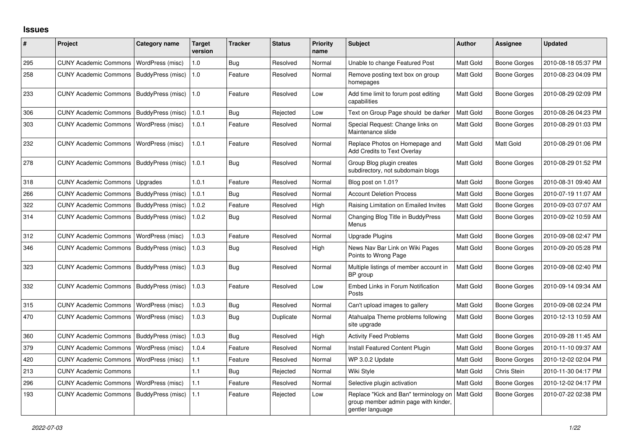## **Issues**

| #   | Project                      | Category name     | <b>Target</b><br>version | <b>Tracker</b> | <b>Status</b> | <b>Priority</b><br>name | <b>Subject</b>                                                                                    | <b>Author</b>    | Assignee            | <b>Updated</b>      |
|-----|------------------------------|-------------------|--------------------------|----------------|---------------|-------------------------|---------------------------------------------------------------------------------------------------|------------------|---------------------|---------------------|
| 295 | <b>CUNY Academic Commons</b> | WordPress (misc)  | 1.0                      | Bug            | Resolved      | Normal                  | Unable to change Featured Post                                                                    | Matt Gold        | <b>Boone Gorges</b> | 2010-08-18 05:37 PM |
| 258 | <b>CUNY Academic Commons</b> | BuddyPress (misc) | 1.0                      | Feature        | Resolved      | Normal                  | Remove posting text box on group<br>homepages                                                     | Matt Gold        | Boone Gorges        | 2010-08-23 04:09 PM |
| 233 | <b>CUNY Academic Commons</b> | BuddyPress (misc) | 1.0                      | Feature        | Resolved      | Low                     | Add time limit to forum post editing<br>capabilities                                              | Matt Gold        | Boone Gorges        | 2010-08-29 02:09 PM |
| 306 | <b>CUNY Academic Commons</b> | BuddyPress (misc) | 1.0.1                    | Bug            | Rejected      | Low                     | Text on Group Page should be darker                                                               | Matt Gold        | Boone Gorges        | 2010-08-26 04:23 PM |
| 303 | <b>CUNY Academic Commons</b> | WordPress (misc)  | 1.0.1                    | Feature        | Resolved      | Normal                  | Special Request: Change links on<br>Maintenance slide                                             | Matt Gold        | Boone Gorges        | 2010-08-29 01:03 PM |
| 232 | <b>CUNY Academic Commons</b> | WordPress (misc)  | 1.0.1                    | Feature        | Resolved      | Normal                  | Replace Photos on Homepage and<br><b>Add Credits to Text Overlay</b>                              | Matt Gold        | Matt Gold           | 2010-08-29 01:06 PM |
| 278 | <b>CUNY Academic Commons</b> | BuddyPress (misc) | 1.0.1                    | Bug            | Resolved      | Normal                  | Group Blog plugin creates<br>subdirectory, not subdomain blogs                                    | <b>Matt Gold</b> | Boone Gorges        | 2010-08-29 01:52 PM |
| 318 | <b>CUNY Academic Commons</b> | Upgrades          | 1.0.1                    | Feature        | Resolved      | Normal                  | Blog post on 1.01?                                                                                | Matt Gold        | Boone Gorges        | 2010-08-31 09:40 AM |
| 266 | <b>CUNY Academic Commons</b> | BuddyPress (misc) | 1.0.1                    | Bug            | Resolved      | Normal                  | <b>Account Deletion Process</b>                                                                   | Matt Gold        | Boone Gorges        | 2010-07-19 11:07 AM |
| 322 | <b>CUNY Academic Commons</b> | BuddyPress (misc) | 1.0.2                    | Feature        | Resolved      | High                    | Raising Limitation on Emailed Invites                                                             | <b>Matt Gold</b> | Boone Gorges        | 2010-09-03 07:07 AM |
| 314 | <b>CUNY Academic Commons</b> | BuddyPress (misc) | 1.0.2                    | <b>Bug</b>     | Resolved      | Normal                  | Changing Blog Title in BuddyPress<br>Menus                                                        | <b>Matt Gold</b> | Boone Gorges        | 2010-09-02 10:59 AM |
| 312 | <b>CUNY Academic Commons</b> | WordPress (misc)  | 1.0.3                    | Feature        | Resolved      | Normal                  | <b>Upgrade Plugins</b>                                                                            | Matt Gold        | <b>Boone Gorges</b> | 2010-09-08 02:47 PM |
| 346 | <b>CUNY Academic Commons</b> | BuddyPress (misc) | 1.0.3                    | Bug            | Resolved      | High                    | News Nav Bar Link on Wiki Pages<br>Points to Wrong Page                                           | <b>Matt Gold</b> | Boone Gorges        | 2010-09-20 05:28 PM |
| 323 | <b>CUNY Academic Commons</b> | BuddyPress (misc) | 1.0.3                    | Bug            | Resolved      | Normal                  | Multiple listings of member account in<br>BP group                                                | Matt Gold        | Boone Gorges        | 2010-09-08 02:40 PM |
| 332 | <b>CUNY Academic Commons</b> | BuddyPress (misc) | 1.0.3                    | Feature        | Resolved      | Low                     | Embed Links in Forum Notification<br>Posts                                                        | Matt Gold        | Boone Gorges        | 2010-09-14 09:34 AM |
| 315 | <b>CUNY Academic Commons</b> | WordPress (misc)  | 1.0.3                    | <b>Bug</b>     | Resolved      | Normal                  | Can't upload images to gallery                                                                    | Matt Gold        | Boone Gorges        | 2010-09-08 02:24 PM |
| 470 | <b>CUNY Academic Commons</b> | WordPress (misc)  | 1.0.3                    | Bug            | Duplicate     | Normal                  | Atahualpa Theme problems following<br>site upgrade                                                | <b>Matt Gold</b> | Boone Gorges        | 2010-12-13 10:59 AM |
| 360 | <b>CUNY Academic Commons</b> | BuddyPress (misc) | 1.0.3                    | Bug            | Resolved      | High                    | <b>Activity Feed Problems</b>                                                                     | Matt Gold        | Boone Gorges        | 2010-09-28 11:45 AM |
| 379 | <b>CUNY Academic Commons</b> | WordPress (misc)  | 1.0.4                    | Feature        | Resolved      | Normal                  | Install Featured Content Plugin                                                                   | Matt Gold        | <b>Boone Gorges</b> | 2010-11-10 09:37 AM |
| 420 | <b>CUNY Academic Commons</b> | WordPress (misc)  | 1.1                      | Feature        | Resolved      | Normal                  | WP 3.0.2 Update                                                                                   | Matt Gold        | Boone Gorges        | 2010-12-02 02:04 PM |
| 213 | <b>CUNY Academic Commons</b> |                   | 1.1                      | Bug            | Rejected      | Normal                  | Wiki Style                                                                                        | Matt Gold        | Chris Stein         | 2010-11-30 04:17 PM |
| 296 | <b>CUNY Academic Commons</b> | WordPress (misc)  | 1.1                      | Feature        | Resolved      | Normal                  | Selective plugin activation                                                                       | <b>Matt Gold</b> | Boone Gorges        | 2010-12-02 04:17 PM |
| 193 | <b>CUNY Academic Commons</b> | BuddyPress (misc) | 1.1                      | Feature        | Rejected      | Low                     | Replace "Kick and Ban" terminology on<br>group member admin page with kinder,<br>gentler language | Matt Gold        | Boone Gorges        | 2010-07-22 02:38 PM |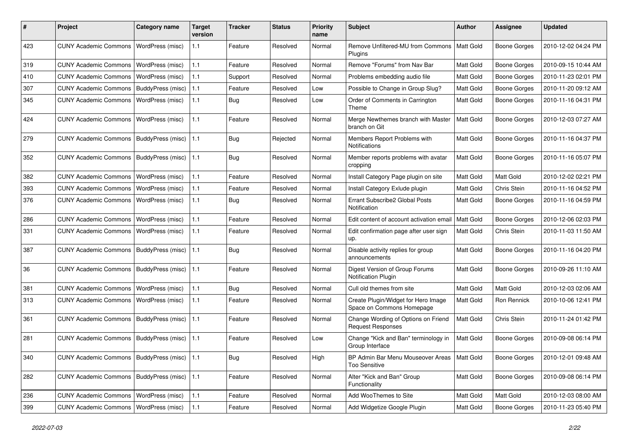| #   | Project                                         | Category name           | <b>Target</b><br>version | Tracker    | <b>Status</b> | <b>Priority</b><br>name | Subject                                                               | Author           | <b>Assignee</b>     | <b>Updated</b>      |
|-----|-------------------------------------------------|-------------------------|--------------------------|------------|---------------|-------------------------|-----------------------------------------------------------------------|------------------|---------------------|---------------------|
| 423 | <b>CUNY Academic Commons</b>                    | <b>WordPress (misc)</b> | 1.1                      | Feature    | Resolved      | Normal                  | Remove Unfiltered-MU from Commons<br>Plugins                          | <b>Matt Gold</b> | <b>Boone Gorges</b> | 2010-12-02 04:24 PM |
| 319 | <b>CUNY Academic Commons</b>                    | <b>WordPress (misc)</b> | 1.1                      | Feature    | Resolved      | Normal                  | Remove "Forums" from Nav Bar                                          | Matt Gold        | <b>Boone Gorges</b> | 2010-09-15 10:44 AM |
| 410 | <b>CUNY Academic Commons</b>                    | <b>WordPress (misc)</b> | 1.1                      | Support    | Resolved      | Normal                  | Problems embedding audio file                                         | Matt Gold        | <b>Boone Gorges</b> | 2010-11-23 02:01 PM |
| 307 | <b>CUNY Academic Commons</b>                    | BuddyPress (misc)       | 1.1                      | Feature    | Resolved      | Low                     | Possible to Change in Group Slug?                                     | Matt Gold        | <b>Boone Gorges</b> | 2010-11-20 09:12 AM |
| 345 | <b>CUNY Academic Commons</b>                    | <b>WordPress (misc)</b> | 1.1                      | Bug        | Resolved      | Low                     | Order of Comments in Carrington<br>Theme                              | <b>Matt Gold</b> | Boone Gorges        | 2010-11-16 04:31 PM |
| 424 | <b>CUNY Academic Commons</b>                    | WordPress (misc)        | 1.1                      | Feature    | Resolved      | Normal                  | Merge Newthemes branch with Master<br>branch on Git                   | Matt Gold        | Boone Gorges        | 2010-12-03 07:27 AM |
| 279 | <b>CUNY Academic Commons</b>                    | BuddyPress (misc)       | 1.1                      | <b>Bug</b> | Rejected      | Normal                  | Members Report Problems with<br>Notifications                         | Matt Gold        | <b>Boone Gorges</b> | 2010-11-16 04:37 PM |
| 352 | <b>CUNY Academic Commons</b>                    | BuddyPress (misc)       | 1.1                      | <b>Bug</b> | Resolved      | Normal                  | Member reports problems with avatar<br>cropping                       | <b>Matt Gold</b> | <b>Boone Gorges</b> | 2010-11-16 05:07 PM |
| 382 | <b>CUNY Academic Commons</b>                    | <b>WordPress (misc)</b> | 1.1                      | Feature    | Resolved      | Normal                  | Install Category Page plugin on site                                  | Matt Gold        | Matt Gold           | 2010-12-02 02:21 PM |
| 393 | <b>CUNY Academic Commons</b>                    | WordPress (misc)        | 1.1                      | Feature    | Resolved      | Normal                  | Install Category Exlude plugin                                        | Matt Gold        | Chris Stein         | 2010-11-16 04:52 PM |
| 376 | <b>CUNY Academic Commons</b>                    | WordPress (misc)        | 1.1                      | <b>Bug</b> | Resolved      | Normal                  | Errant Subscribe2 Global Posts<br>Notification                        | Matt Gold        | <b>Boone Gorges</b> | 2010-11-16 04:59 PM |
| 286 | <b>CUNY Academic Commons</b>                    | WordPress (misc)        | 1.1                      | Feature    | Resolved      | Normal                  | Edit content of account activation email                              | <b>Matt Gold</b> | <b>Boone Gorges</b> | 2010-12-06 02:03 PM |
| 331 | <b>CUNY Academic Commons</b>                    | WordPress (misc)        | 1.1                      | Feature    | Resolved      | Normal                  | Edit confirmation page after user sign<br>up.                         | Matt Gold        | Chris Stein         | 2010-11-03 11:50 AM |
| 387 | <b>CUNY Academic Commons</b>                    | BuddyPress (misc)       | 1.1                      | Bug        | Resolved      | Normal                  | Disable activity replies for group<br>announcements                   | Matt Gold        | Boone Gorges        | 2010-11-16 04:20 PM |
| 36  | <b>CUNY Academic Commons</b>                    | BuddyPress (misc)       | 1.1                      | Feature    | Resolved      | Normal                  | Digest Version of Group Forums<br>Notification Plugin                 | Matt Gold        | Boone Gorges        | 2010-09-26 11:10 AM |
| 381 | <b>CUNY Academic Commons</b>                    | <b>WordPress (misc)</b> | 1.1                      | <b>Bug</b> | Resolved      | Normal                  | Cull old themes from site                                             | Matt Gold        | Matt Gold           | 2010-12-03 02:06 AM |
| 313 | <b>CUNY Academic Commons</b>                    | WordPress (misc)        | 1.1                      | Feature    | Resolved      | Normal                  | Create Plugin/Widget for Hero Image<br>Space on Commons Homepage      | <b>Matt Gold</b> | Ron Rennick         | 2010-10-06 12:41 PM |
| 361 | <b>CUNY Academic Commons</b>                    | BuddyPress (misc)       | 1.1                      | Feature    | Resolved      | Normal                  | Change Wording of Options on Friend<br><b>Request Responses</b>       | Matt Gold        | Chris Stein         | 2010-11-24 01:42 PM |
| 281 | <b>CUNY Academic Commons</b>                    | BuddyPress (misc)       | 1.1                      | Feature    | Resolved      | Low                     | Change "Kick and Ban" terminology in<br>Group Interface               | Matt Gold        | Boone Gorges        | 2010-09-08 06:14 PM |
| 340 | CUNY Academic Commons   BuddyPress (misc)   1.1 |                         |                          | Bug        | Resolved      | High                    | BP Admin Bar Menu Mouseover Areas   Matt Gold<br><b>Too Sensitive</b> |                  | <b>Boone Gorges</b> | 2010-12-01 09:48 AM |
| 282 | <b>CUNY Academic Commons</b>                    | BuddyPress (misc)   1.1 |                          | Feature    | Resolved      | Normal                  | Alter "Kick and Ban" Group<br>Functionality                           | Matt Gold        | Boone Gorges        | 2010-09-08 06:14 PM |
| 236 | CUNY Academic Commons   WordPress (misc)        |                         | 1.1                      | Feature    | Resolved      | Normal                  | Add WooThemes to Site                                                 | Matt Gold        | Matt Gold           | 2010-12-03 08:00 AM |
| 399 | <b>CUNY Academic Commons</b>                    | WordPress (misc)        | 1.1                      | Feature    | Resolved      | Normal                  | Add Widgetize Google Plugin                                           | Matt Gold        | <b>Boone Gorges</b> | 2010-11-23 05:40 PM |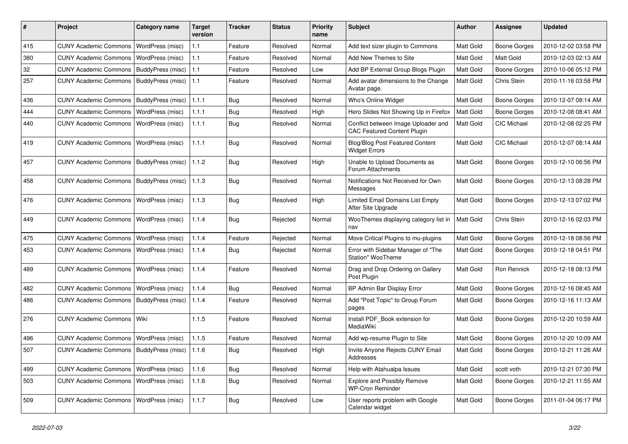| #   | Project                                   | <b>Category name</b>     | <b>Target</b><br>version | <b>Tracker</b> | <b>Status</b> | <b>Priority</b><br>name | <b>Subject</b>                                                            | Author           | <b>Assignee</b>     | <b>Updated</b>      |
|-----|-------------------------------------------|--------------------------|--------------------------|----------------|---------------|-------------------------|---------------------------------------------------------------------------|------------------|---------------------|---------------------|
| 415 | <b>CUNY Academic Commons</b>              | WordPress (misc)         | 1.1                      | Feature        | Resolved      | Normal                  | Add text sizer plugin to Commons                                          | Matt Gold        | <b>Boone Gorges</b> | 2010-12-02 03:58 PM |
| 380 | <b>CUNY Academic Commons</b>              | WordPress (misc)         | 1.1                      | Feature        | Resolved      | Normal                  | Add New Themes to Site                                                    | Matt Gold        | Matt Gold           | 2010-12-03 02:13 AM |
| 32  | <b>CUNY Academic Commons</b>              | BuddyPress (misc)        | 1.1                      | Feature        | Resolved      | Low                     | Add BP External Group Blogs Plugin                                        | Matt Gold        | Boone Gorges        | 2010-10-06 05:12 PM |
| 257 | <b>CUNY Academic Commons</b>              | BuddyPress (misc)        | 1.1                      | Feature        | Resolved      | Normal                  | Add avatar dimensions to the Change<br>Avatar page.                       | Matt Gold        | Chris Stein         | 2010-11-16 03:58 PM |
| 436 | <b>CUNY Academic Commons</b>              | BuddyPress (misc)        | 1.1.1                    | Bug            | Resolved      | Normal                  | Who's Online Widget                                                       | Matt Gold        | <b>Boone Gorges</b> | 2010-12-07 08:14 AM |
| 444 | <b>CUNY Academic Commons</b>              | WordPress (misc)         | 1.1.1                    | Bug            | Resolved      | High                    | Hero Slides Not Showing Up in Firefox                                     | Matt Gold        | <b>Boone Gorges</b> | 2010-12-08 08:41 AM |
| 440 | <b>CUNY Academic Commons</b>              | WordPress (misc)         | 1.1.1                    | Bug            | Resolved      | Normal                  | Conflict between Image Uploader and<br><b>CAC Featured Content Plugin</b> | Matt Gold        | CIC Michael         | 2010-12-08 02:25 PM |
| 419 | <b>CUNY Academic Commons</b>              | <b>WordPress (misc)</b>  | 1.1.1                    | Bug            | Resolved      | Normal                  | Blog/Blog Post Featured Content<br><b>Widget Errors</b>                   | Matt Gold        | CIC Michael         | 2010-12-07 08:14 AM |
| 457 | <b>CUNY Academic Commons</b>              | <b>BuddyPress (misc)</b> | 1.1.2                    | <b>Bug</b>     | Resolved      | High                    | Unable to Upload Documents as<br>Forum Attachments                        | Matt Gold        | Boone Gorges        | 2010-12-10 06:56 PM |
| 458 | <b>CUNY Academic Commons</b>              | BuddyPress (misc)        | 1.1.3                    | Bug            | Resolved      | Normal                  | Notifications Not Received for Own<br>Messages                            | <b>Matt Gold</b> | Boone Gorges        | 2010-12-13 08:28 PM |
| 476 | <b>CUNY Academic Commons</b>              | WordPress (misc)         | 1.1.3                    | Bug            | Resolved      | High                    | Limited Email Domains List Empty<br>After Site Upgrade                    | Matt Gold        | Boone Gorges        | 2010-12-13 07:02 PM |
| 449 | <b>CUNY Academic Commons</b>              | WordPress (misc)         | 1.1.4                    | Bug            | Rejected      | Normal                  | WooThemes displaying category list in<br>nav                              | <b>Matt Gold</b> | Chris Stein         | 2010-12-16 02:03 PM |
| 475 | <b>CUNY Academic Commons</b>              | WordPress (misc)         | 1.1.4                    | Feature        | Rejected      | Normal                  | Move Critical Plugins to mu-plugins                                       | Matt Gold        | <b>Boone Gorges</b> | 2010-12-18 08:56 PM |
| 453 | <b>CUNY Academic Commons</b>              | <b>WordPress (misc)</b>  | 1.1.4                    | <b>Bug</b>     | Rejected      | Normal                  | Error with Sidebar Manager of "The<br>Station" WooTheme                   | Matt Gold        | Boone Gorges        | 2010-12-18 04:51 PM |
| 489 | <b>CUNY Academic Commons</b>              | <b>WordPress (misc)</b>  | 1.1.4                    | Feature        | Resolved      | Normal                  | Drag and Drop Ordering on Gallery<br>Post Plugin                          | Matt Gold        | Ron Rennick         | 2010-12-18 08:13 PM |
| 482 | <b>CUNY Academic Commons</b>              | WordPress (misc)         | 1.1.4                    | Bug            | Resolved      | Normal                  | BP Admin Bar Display Error                                                | Matt Gold        | <b>Boone Gorges</b> | 2010-12-16 08:45 AM |
| 486 | <b>CUNY Academic Commons</b>              | BuddyPress (misc)        | 1.1.4                    | Feature        | Resolved      | Normal                  | Add "Post Topic" to Group Forum<br>pages                                  | Matt Gold        | Boone Gorges        | 2010-12-16 11:13 AM |
| 276 | <b>CUNY Academic Commons</b>              | Wiki                     | 1.1.5                    | Feature        | Resolved      | Normal                  | Install PDF_Book extension for<br>MediaWiki                               | Matt Gold        | Boone Gorges        | 2010-12-20 10:59 AM |
| 496 | <b>CUNY Academic Commons</b>              | WordPress (misc)         | 1.1.5                    | Feature        | Resolved      | Normal                  | Add wp-resume Plugin to Site                                              | Matt Gold        | Boone Gorges        | 2010-12-20 10:09 AM |
| 507 | CUNY Academic Commons   BuddyPress (misc) |                          | 1.1.6                    | Bug            | Resolved      | High                    | Invite Anyone Rejects CUNY Email<br>Addresses                             | Matt Gold        | <b>Boone Gorges</b> | 2010-12-21 11:26 AM |
| 499 | <b>CUNY Academic Commons</b>              | WordPress (misc)         | 1.1.6                    | Bug            | Resolved      | Normal                  | Help with Atahualpa Issues                                                | Matt Gold        | scott voth          | 2010-12-21 07:30 PM |
| 503 | <b>CUNY Academic Commons</b>              | WordPress (misc)         | 1.1.6                    | Bug            | Resolved      | Normal                  | <b>Explore and Possibly Remove</b><br><b>WP-Cron Reminder</b>             | Matt Gold        | Boone Gorges        | 2010-12-21 11:55 AM |
| 509 | CUNY Academic Commons   WordPress (misc)  |                          | 1.1.7                    | Bug            | Resolved      | Low                     | User reports problem with Google<br>Calendar widget                       | Matt Gold        | <b>Boone Gorges</b> | 2011-01-04 06:17 PM |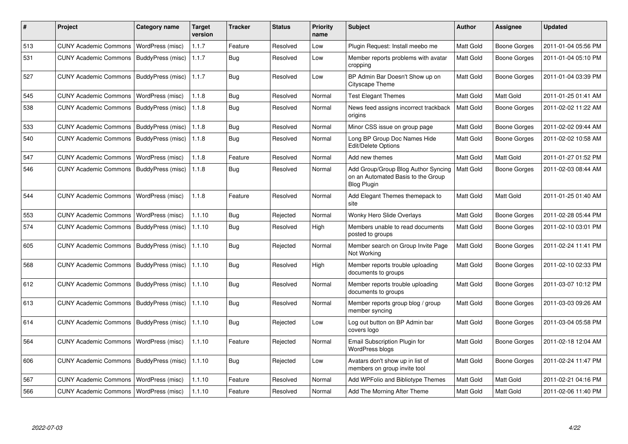| #   | Project                                   | <b>Category name</b>    | <b>Target</b><br>version | <b>Tracker</b> | <b>Status</b> | <b>Priority</b><br>name | <b>Subject</b>                                                                                  | <b>Author</b>    | <b>Assignee</b>     | <b>Updated</b>      |
|-----|-------------------------------------------|-------------------------|--------------------------|----------------|---------------|-------------------------|-------------------------------------------------------------------------------------------------|------------------|---------------------|---------------------|
| 513 | <b>CUNY Academic Commons</b>              | WordPress (misc)        | 1.1.7                    | Feature        | Resolved      | Low                     | Plugin Request: Install meebo me                                                                | Matt Gold        | <b>Boone Gorges</b> | 2011-01-04 05:56 PM |
| 531 | <b>CUNY Academic Commons</b>              | BuddyPress (misc)       | 1.1.7                    | Bug            | Resolved      | Low                     | Member reports problems with avatar<br>cropping                                                 | Matt Gold        | Boone Gorges        | 2011-01-04 05:10 PM |
| 527 | <b>CUNY Academic Commons</b>              | BuddyPress (misc)       | 1.1.7                    | Bug            | Resolved      | Low                     | BP Admin Bar Doesn't Show up on<br>Cityscape Theme                                              | Matt Gold        | Boone Gorges        | 2011-01-04 03:39 PM |
| 545 | <b>CUNY Academic Commons</b>              | WordPress (misc)        | 1.1.8                    | Bug            | Resolved      | Normal                  | <b>Test Elegant Themes</b>                                                                      | Matt Gold        | Matt Gold           | 2011-01-25 01:41 AM |
| 538 | <b>CUNY Academic Commons</b>              | BuddyPress (misc)       | 1.1.8                    | <b>Bug</b>     | Resolved      | Normal                  | News feed assigns incorrect trackback<br>origins                                                | Matt Gold        | <b>Boone Gorges</b> | 2011-02-02 11:22 AM |
| 533 | <b>CUNY Academic Commons</b>              | BuddyPress (misc)       | 1.1.8                    | Bug            | Resolved      | Normal                  | Minor CSS issue on group page                                                                   | Matt Gold        | Boone Gorges        | 2011-02-02 09:44 AM |
| 540 | <b>CUNY Academic Commons</b>              | BuddyPress (misc)       | 1.1.8                    | Bug            | Resolved      | Normal                  | Long BP Group Doc Names Hide<br>Edit/Delete Options                                             | Matt Gold        | Boone Gorges        | 2011-02-02 10:58 AM |
| 547 | <b>CUNY Academic Commons</b>              | WordPress (misc)        | 1.1.8                    | Feature        | Resolved      | Normal                  | Add new themes                                                                                  | Matt Gold        | Matt Gold           | 2011-01-27 01:52 PM |
| 546 | <b>CUNY Academic Commons</b>              | BuddyPress (misc)       | 1.1.8                    | Bug            | Resolved      | Normal                  | Add Group/Group Blog Author Syncing<br>on an Automated Basis to the Group<br><b>Blog Plugin</b> | Matt Gold        | Boone Gorges        | 2011-02-03 08:44 AM |
| 544 | <b>CUNY Academic Commons</b>              | <b>WordPress (misc)</b> | 1.1.8                    | Feature        | Resolved      | Normal                  | Add Elegant Themes themepack to<br>site                                                         | Matt Gold        | Matt Gold           | 2011-01-25 01:40 AM |
| 553 | <b>CUNY Academic Commons</b>              | WordPress (misc)        | 1.1.10                   | Bug            | Rejected      | Normal                  | Wonky Hero Slide Overlays                                                                       | Matt Gold        | Boone Gorges        | 2011-02-28 05:44 PM |
| 574 | <b>CUNY Academic Commons</b>              | BuddyPress (misc)       | 1.1.10                   | Bug            | Resolved      | High                    | Members unable to read documents<br>posted to groups                                            | Matt Gold        | Boone Gorges        | 2011-02-10 03:01 PM |
| 605 | <b>CUNY Academic Commons</b>              | BuddyPress (misc)       | 1.1.10                   | Bug            | Rejected      | Normal                  | Member search on Group Invite Page<br>Not Working                                               | Matt Gold        | Boone Gorges        | 2011-02-24 11:41 PM |
| 568 | <b>CUNY Academic Commons</b>              | BuddyPress (misc)       | 1.1.10                   | Bug            | Resolved      | High                    | Member reports trouble uploading<br>documents to groups                                         | Matt Gold        | Boone Gorges        | 2011-02-10 02:33 PM |
| 612 | <b>CUNY Academic Commons</b>              | BuddyPress (misc)       | 1.1.10                   | <b>Bug</b>     | Resolved      | Normal                  | Member reports trouble uploading<br>documents to groups                                         | <b>Matt Gold</b> | Boone Gorges        | 2011-03-07 10:12 PM |
| 613 | <b>CUNY Academic Commons</b>              | BuddyPress (misc)       | 1.1.10                   | Bug            | Resolved      | Normal                  | Member reports group blog / group<br>member syncing                                             | Matt Gold        | Boone Gorges        | 2011-03-03 09:26 AM |
| 614 | <b>CUNY Academic Commons</b>              | BuddyPress (misc)       | 1.1.10                   | Bug            | Rejected      | Low                     | Log out button on BP Admin bar<br>covers logo                                                   | Matt Gold        | Boone Gorges        | 2011-03-04 05:58 PM |
| 564 | <b>CUNY Academic Commons</b>              | WordPress (misc)        | 1.1.10                   | Feature        | Rejected      | Normal                  | Email Subscription Plugin for<br>WordPress blogs                                                | <b>Matt Gold</b> | Boone Gorges        | 2011-02-18 12:04 AM |
| 606 | CUNY Academic Commons   BuddyPress (misc) |                         | 1.1.10                   | Bug            | Rejected      | Low                     | Avatars don't show up in list of<br>members on group invite tool                                | Matt Gold        | Boone Gorges        | 2011-02-24 11:47 PM |
| 567 | <b>CUNY Academic Commons</b>              | WordPress (misc)        | 1.1.10                   | Feature        | Resolved      | Normal                  | Add WPFolio and Bibliotype Themes                                                               | Matt Gold        | Matt Gold           | 2011-02-21 04:16 PM |
| 566 | CUNY Academic Commons   WordPress (misc)  |                         | 1.1.10                   | Feature        | Resolved      | Normal                  | Add The Morning After Theme                                                                     | <b>Matt Gold</b> | Matt Gold           | 2011-02-06 11:40 PM |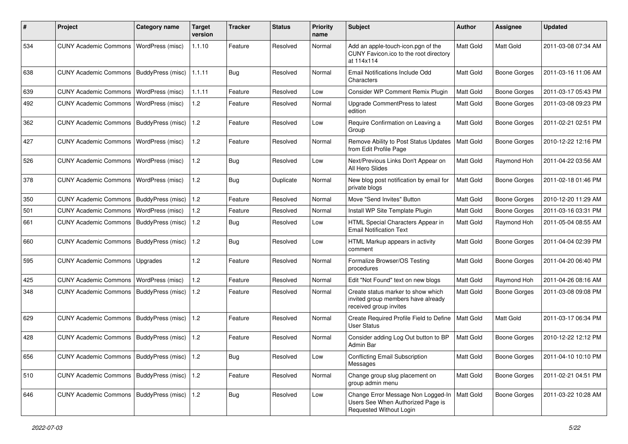| #   | Project                                         | <b>Category name</b> | <b>Target</b><br>version | <b>Tracker</b> | <b>Status</b> | <b>Priority</b><br>name | Subject                                                                                                        | Author           | Assignee            | <b>Updated</b>      |
|-----|-------------------------------------------------|----------------------|--------------------------|----------------|---------------|-------------------------|----------------------------------------------------------------------------------------------------------------|------------------|---------------------|---------------------|
| 534 | <b>CUNY Academic Commons</b>                    | WordPress (misc)     | 1.1.10                   | Feature        | Resolved      | Normal                  | Add an apple-touch-icon.pgn of the<br>CUNY Favicon.ico to the root directory<br>at 114x114                     | <b>Matt Gold</b> | Matt Gold           | 2011-03-08 07:34 AM |
| 638 | CUNY Academic Commons   BuddyPress (misc)       |                      | 1.1.11                   | Bug            | Resolved      | Normal                  | Email Notifications Include Odd<br>Characters                                                                  | Matt Gold        | <b>Boone Gorges</b> | 2011-03-16 11:06 AM |
| 639 | <b>CUNY Academic Commons</b>                    | WordPress (misc)     | 1.1.11                   | Feature        | Resolved      | Low                     | Consider WP Comment Remix Plugin                                                                               | Matt Gold        | <b>Boone Gorges</b> | 2011-03-17 05:43 PM |
| 492 | <b>CUNY Academic Commons</b>                    | WordPress (misc)     | 1.2                      | Feature        | Resolved      | Normal                  | Upgrade CommentPress to latest<br>edition                                                                      | Matt Gold        | <b>Boone Gorges</b> | 2011-03-08 09:23 PM |
| 362 | <b>CUNY Academic Commons</b>                    | BuddyPress (misc)    | 1.2                      | Feature        | Resolved      | Low                     | Require Confirmation on Leaving a<br>Group                                                                     | <b>Matt Gold</b> | <b>Boone Gorges</b> | 2011-02-21 02:51 PM |
| 427 | <b>CUNY Academic Commons</b>                    | WordPress (misc)     | 1.2                      | Feature        | Resolved      | Normal                  | Remove Ability to Post Status Updates<br>from Edit Profile Page                                                | Matt Gold        | <b>Boone Gorges</b> | 2010-12-22 12:16 PM |
| 526 | <b>CUNY Academic Commons</b>                    | WordPress (misc)     | 1.2                      | Bug            | Resolved      | Low                     | Next/Previous Links Don't Appear on<br>All Hero Slides                                                         | Matt Gold        | Raymond Hoh         | 2011-04-22 03:56 AM |
| 378 | CUNY Academic Commons                           | WordPress (misc)     | 1.2                      | Bug            | Duplicate     | Normal                  | New blog post notification by email for<br>private blogs                                                       | Matt Gold        | <b>Boone Gorges</b> | 2011-02-18 01:46 PM |
| 350 | CUNY Academic Commons   BuddyPress (misc)       |                      | 1.2                      | Feature        | Resolved      | Normal                  | Move "Send Invites" Button                                                                                     | Matt Gold        | Boone Gorges        | 2010-12-20 11:29 AM |
| 501 | CUNY Academic Commons                           | WordPress (misc)     | $1.2$                    | Feature        | Resolved      | Normal                  | Install WP Site Template Plugin                                                                                | Matt Gold        | <b>Boone Gorges</b> | 2011-03-16 03:31 PM |
| 661 | <b>CUNY Academic Commons</b>                    | BuddyPress (misc)    | 1.2                      | Bug            | Resolved      | Low                     | HTML Special Characters Appear in<br><b>Email Notification Text</b>                                            | <b>Matt Gold</b> | Raymond Hoh         | 2011-05-04 08:55 AM |
| 660 | CUNY Academic Commons   BuddyPress (misc)       |                      | $1.2$                    | Bug            | Resolved      | Low                     | HTML Markup appears in activity<br>comment                                                                     | Matt Gold        | Boone Gorges        | 2011-04-04 02:39 PM |
| 595 | <b>CUNY Academic Commons</b>                    | Upgrades             | 1.2                      | Feature        | Resolved      | Normal                  | Formalize Browser/OS Testing<br>procedures                                                                     | <b>Matt Gold</b> | Boone Gorges        | 2011-04-20 06:40 PM |
| 425 | <b>CUNY Academic Commons</b>                    | WordPress (misc)     | $1.2$                    | Feature        | Resolved      | Normal                  | Edit "Not Found" text on new blogs                                                                             | Matt Gold        | Raymond Hoh         | 2011-04-26 08:16 AM |
| 348 | CUNY Academic Commons   BuddyPress (misc)       |                      | 1.2                      | Feature        | Resolved      | Normal                  | Create status marker to show which<br>invited group members have already<br>received group invites             | Matt Gold        | Boone Gorges        | 2011-03-08 09:08 PM |
| 629 | CUNY Academic Commons   BuddyPress (misc)       |                      | 1.2                      | Feature        | Resolved      | Normal                  | Create Required Profile Field to Define<br><b>User Status</b>                                                  | <b>Matt Gold</b> | Matt Gold           | 2011-03-17 06:34 PM |
| 428 | CUNY Academic Commons   BuddyPress (misc)       |                      | 1.2                      | Feature        | Resolved      | Normal                  | Consider adding Log Out button to BP<br>Admin Bar                                                              | Matt Gold        | Boone Gorges        | 2010-12-22 12:12 PM |
| 656 | CUNY Academic Commons   BuddyPress (misc)   1.2 |                      |                          | Bug            | Resolved      | Low                     | <b>Conflicting Email Subscription</b><br>Messages                                                              | Matt Gold        | <b>Boone Gorges</b> | 2011-04-10 10:10 PM |
| 510 | CUNY Academic Commons   BuddyPress (misc)       |                      | 1.2                      | Feature        | Resolved      | Normal                  | Change group slug placement on<br>group admin menu                                                             | Matt Gold        | Boone Gorges        | 2011-02-21 04:51 PM |
| 646 | CUNY Academic Commons   BuddyPress (misc)   1.2 |                      |                          | Bug            | Resolved      | Low                     | Change Error Message Non Logged-In   Matt Gold<br>Users See When Authorized Page is<br>Requested Without Login |                  | Boone Gorges        | 2011-03-22 10:28 AM |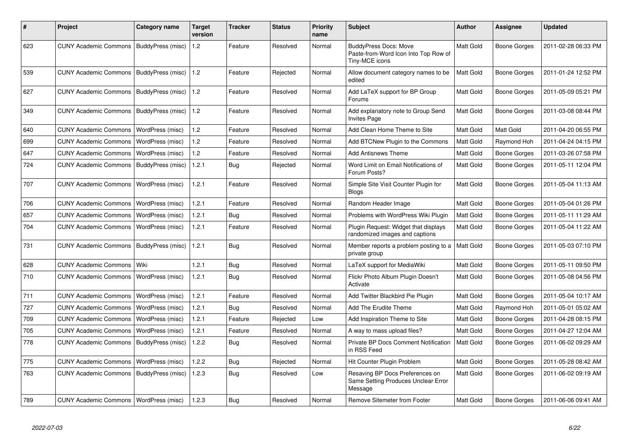| #   | <b>Project</b>                            | Category name     | <b>Target</b><br>version | Tracker    | <b>Status</b> | <b>Priority</b><br>name | <b>Subject</b>                                                                         | <b>Author</b>    | Assignee            | <b>Updated</b>      |
|-----|-------------------------------------------|-------------------|--------------------------|------------|---------------|-------------------------|----------------------------------------------------------------------------------------|------------------|---------------------|---------------------|
| 623 | CUNY Academic Commons   BuddyPress (misc) |                   | 1.2                      | Feature    | Resolved      | Normal                  | <b>BuddyPress Docs: Move</b><br>Paste-from-Word Icon Into Top Row of<br>Tiny-MCE icons | Matt Gold        | Boone Gorges        | 2011-02-28 06:33 PM |
| 539 | <b>CUNY Academic Commons</b>              | BuddyPress (misc) | 1.2                      | Feature    | Rejected      | Normal                  | Allow document category names to be<br>edited                                          | Matt Gold        | <b>Boone Gorges</b> | 2011-01-24 12:52 PM |
| 627 | <b>CUNY Academic Commons</b>              | BuddyPress (misc) | 1.2                      | Feature    | Resolved      | Normal                  | Add LaTeX support for BP Group<br>Forums                                               | <b>Matt Gold</b> | Boone Gorges        | 2011-05-09 05:21 PM |
| 349 | <b>CUNY Academic Commons</b>              | BuddyPress (misc) | 1.2                      | Feature    | Resolved      | Normal                  | Add explanatory note to Group Send<br><b>Invites Page</b>                              | Matt Gold        | Boone Gorges        | 2011-03-08 08:44 PM |
| 640 | <b>CUNY Academic Commons</b>              | WordPress (misc)  | 1.2                      | Feature    | Resolved      | Normal                  | Add Clean Home Theme to Site                                                           | Matt Gold        | Matt Gold           | 2011-04-20 06:55 PM |
| 699 | <b>CUNY Academic Commons</b>              | WordPress (misc)  | 1.2                      | Feature    | Resolved      | Normal                  | Add BTCNew Plugin to the Commons                                                       | Matt Gold        | Raymond Hoh         | 2011-04-24 04:15 PM |
| 647 | <b>CUNY Academic Commons</b>              | WordPress (misc)  | 1.2                      | Feature    | Resolved      | Normal                  | <b>Add Antisnews Theme</b>                                                             | <b>Matt Gold</b> | Boone Gorges        | 2011-03-26 07:58 PM |
| 724 | <b>CUNY Academic Commons</b>              | BuddyPress (misc) | 1.2.1                    | Bug        | Rejected      | Normal                  | Word Limit on Email Notifications of<br>Forum Posts?                                   | Matt Gold        | Boone Gorges        | 2011-05-11 12:04 PM |
| 707 | <b>CUNY Academic Commons</b>              | WordPress (misc)  | 1.2.1                    | Feature    | Resolved      | Normal                  | Simple Site Visit Counter Plugin for<br><b>Blogs</b>                                   | <b>Matt Gold</b> | Boone Gorges        | 2011-05-04 11:13 AM |
| 706 | <b>CUNY Academic Commons</b>              | WordPress (misc)  | 1.2.1                    | Feature    | Resolved      | Normal                  | Random Header Image                                                                    | Matt Gold        | Boone Gorges        | 2011-05-04 01:26 PM |
| 657 | <b>CUNY Academic Commons</b>              | WordPress (misc)  | 1.2.1                    | Bug        | Resolved      | Normal                  | Problems with WordPress Wiki Plugin                                                    | <b>Matt Gold</b> | Boone Gorges        | 2011-05-11 11:29 AM |
| 704 | <b>CUNY Academic Commons</b>              | WordPress (misc)  | 1.2.1                    | Feature    | Resolved      | Normal                  | Plugin Request: Widget that displays<br>randomized images and captions                 | Matt Gold        | Boone Gorges        | 2011-05-04 11:22 AM |
| 731 | <b>CUNY Academic Commons</b>              | BuddyPress (misc) | 1.2.1                    | <b>Bug</b> | Resolved      | Normal                  | Member reports a problem posting to a<br>private group                                 | <b>Matt Gold</b> | Boone Gorges        | 2011-05-03 07:10 PM |
| 628 | <b>CUNY Academic Commons</b>              | Wiki              | 1.2.1                    | <b>Bug</b> | Resolved      | Normal                  | LaTeX support for MediaWiki                                                            | Matt Gold        | Boone Gorges        | 2011-05-11 09:50 PM |
| 710 | <b>CUNY Academic Commons</b>              | WordPress (misc)  | 1.2.1                    | Bug        | Resolved      | Normal                  | Flickr Photo Album Plugin Doesn't<br>Activate                                          | <b>Matt Gold</b> | Boone Gorges        | 2011-05-08 04:56 PM |
| 711 | <b>CUNY Academic Commons</b>              | WordPress (misc)  | 1.2.1                    | Feature    | Resolved      | Normal                  | Add Twitter Blackbird Pie Plugin                                                       | Matt Gold        | Boone Gorges        | 2011-05-04 10:17 AM |
| 727 | <b>CUNY Academic Commons</b>              | WordPress (misc)  | 1.2.1                    | <b>Bug</b> | Resolved      | Normal                  | Add The Erudite Theme                                                                  | Matt Gold        | Raymond Hoh         | 2011-05-01 05:02 AM |
| 709 | <b>CUNY Academic Commons</b>              | WordPress (misc)  | 1.2.1                    | Feature    | Rejected      | Low                     | Add Inspiration Theme to Site                                                          | Matt Gold        | Boone Gorges        | 2011-04-28 08:15 PM |
| 705 | <b>CUNY Academic Commons</b>              | WordPress (misc)  | 1.2.1                    | Feature    | Resolved      | Normal                  | A way to mass upload files?                                                            | Matt Gold        | Boone Gorges        | 2011-04-27 12:04 AM |
| 778 | <b>CUNY Academic Commons</b>              | BuddyPress (misc) | 1.2.2                    | Bug        | Resolved      | Normal                  | Private BP Docs Comment Notification<br>in RSS Feed                                    | Matt Gold        | Boone Gorges        | 2011-06-02 09:29 AM |
| 775 | <b>CUNY Academic Commons</b>              | WordPress (misc)  | 1.2.2                    | Bug        | Rejected      | Normal                  | Hit Counter Plugin Problem                                                             | Matt Gold        | Boone Gorges        | 2011-05-28 08:42 AM |
| 763 | <b>CUNY Academic Commons</b>              | BuddyPress (misc) | 1.2.3                    | Bug        | Resolved      | Low                     | Resaving BP Docs Preferences on<br>Same Setting Produces Unclear Error<br>Message      | Matt Gold        | Boone Gorges        | 2011-06-02 09:19 AM |
| 789 | CUNY Academic Commons   WordPress (misc)  |                   | 1.2.3                    | Bug        | Resolved      | Normal                  | Remove Sitemeter from Footer                                                           | Matt Gold        | Boone Gorges        | 2011-06-06 09:41 AM |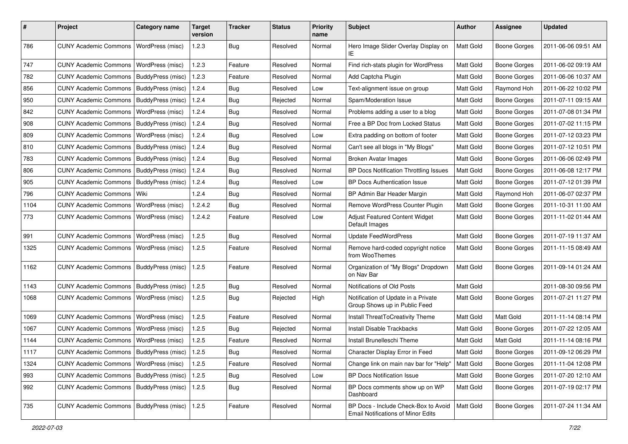| #    | Project                                           | <b>Category name</b>      | <b>Target</b><br>version | <b>Tracker</b> | <b>Status</b> | <b>Priority</b><br>name | Subject                                                                           | <b>Author</b> | <b>Assignee</b>     | <b>Updated</b>      |
|------|---------------------------------------------------|---------------------------|--------------------------|----------------|---------------|-------------------------|-----------------------------------------------------------------------------------|---------------|---------------------|---------------------|
| 786  | <b>CUNY Academic Commons</b>                      | <b>WordPress (misc)</b>   | 1.2.3                    | <b>Bug</b>     | Resolved      | Normal                  | Hero Image Slider Overlay Display on<br>ΙE                                        | Matt Gold     | <b>Boone Gorges</b> | 2011-06-06 09:51 AM |
| 747  | <b>CUNY Academic Commons</b>                      | WordPress (misc)          | 1.2.3                    | Feature        | Resolved      | Normal                  | Find rich-stats plugin for WordPress                                              | Matt Gold     | <b>Boone Gorges</b> | 2011-06-02 09:19 AM |
| 782  | <b>CUNY Academic Commons</b>                      | BuddyPress (misc)         | 1.2.3                    | Feature        | Resolved      | Normal                  | Add Captcha Plugin                                                                | Matt Gold     | <b>Boone Gorges</b> | 2011-06-06 10:37 AM |
| 856  | <b>CUNY Academic Commons</b>                      | BuddyPress (misc)         | 1.2.4                    | Bug            | Resolved      | Low                     | Text-alignment issue on group                                                     | Matt Gold     | Raymond Hoh         | 2011-06-22 10:02 PM |
| 950  | <b>CUNY Academic Commons</b>                      | BuddyPress (misc)         | 1.2.4                    | Bug            | Rejected      | Normal                  | Spam/Moderation Issue                                                             | Matt Gold     | <b>Boone Gorges</b> | 2011-07-11 09:15 AM |
| 842  | <b>CUNY Academic Commons</b>                      | WordPress (misc)          | 1.2.4                    | Bug            | Resolved      | Normal                  | Problems adding a user to a blog                                                  | Matt Gold     | <b>Boone Gorges</b> | 2011-07-08 01:34 PM |
| 908  | <b>CUNY Academic Commons</b>                      | BuddyPress (misc)         | 1.2.4                    | Bug            | Resolved      | Normal                  | Free a BP Doc from Locked Status                                                  | Matt Gold     | <b>Boone Gorges</b> | 2011-07-02 11:15 PM |
| 809  | <b>CUNY Academic Commons</b>                      | WordPress (misc)          | 1.2.4                    | Bug            | Resolved      | Low                     | Extra padding on bottom of footer                                                 | Matt Gold     | <b>Boone Gorges</b> | 2011-07-12 03:23 PM |
| 810  | <b>CUNY Academic Commons</b>                      | BuddyPress (misc)         | 1.2.4                    | Bug            | Resolved      | Normal                  | Can't see all blogs in "My Blogs"                                                 | Matt Gold     | <b>Boone Gorges</b> | 2011-07-12 10:51 PM |
| 783  | <b>CUNY Academic Commons</b>                      | BuddyPress (misc)         | 1.2.4                    | Bug            | Resolved      | Normal                  | <b>Broken Avatar Images</b>                                                       | Matt Gold     | Boone Gorges        | 2011-06-06 02:49 PM |
| 806  | <b>CUNY Academic Commons</b>                      | BuddyPress (misc)         | 1.2.4                    | Bug            | Resolved      | Normal                  | BP Docs Notification Throttling Issues                                            | Matt Gold     | Boone Gorges        | 2011-06-08 12:17 PM |
| 905  | <b>CUNY Academic Commons</b>                      | BuddyPress (misc)         | 1.2.4                    | Bug            | Resolved      | Low                     | <b>BP Docs Authentication Issue</b>                                               | Matt Gold     | <b>Boone Gorges</b> | 2011-07-12 01:39 PM |
| 796  | <b>CUNY Academic Commons</b>                      | Wiki                      | 1.2.4                    | Bug            | Resolved      | Normal                  | BP Admin Bar Header Margin                                                        | Matt Gold     | Raymond Hoh         | 2011-06-07 02:37 PM |
| 1104 | <b>CUNY Academic Commons</b>                      | <b>WordPress (misc)</b>   | 1.2.4.2                  | Bug            | Resolved      | Normal                  | Remove WordPress Counter Plugin                                                   | Matt Gold     | <b>Boone Gorges</b> | 2011-10-31 11:00 AM |
| 773  | <b>CUNY Academic Commons</b>                      | WordPress (misc)          | 1.2.4.2                  | Feature        | Resolved      | Low                     | Adjust Featured Content Widget<br>Default Images                                  | Matt Gold     | Boone Gorges        | 2011-11-02 01:44 AM |
| 991  | <b>CUNY Academic Commons</b>                      | WordPress (misc)          | 1.2.5                    | Bug            | Resolved      | Normal                  | <b>Update FeedWordPress</b>                                                       | Matt Gold     | <b>Boone Gorges</b> | 2011-07-19 11:37 AM |
| 1325 | <b>CUNY Academic Commons</b>                      | <b>WordPress (misc)</b>   | 1.2.5                    | Feature        | Resolved      | Normal                  | Remove hard-coded copyright notice<br>from WooThemes                              | Matt Gold     | Boone Gorges        | 2011-11-15 08:49 AM |
| 1162 | <b>CUNY Academic Commons</b>                      | BuddyPress (misc)         | 1.2.5                    | Feature        | Resolved      | Normal                  | Organization of "My Blogs" Dropdown<br>on Nav Bar                                 | Matt Gold     | <b>Boone Gorges</b> | 2011-09-14 01:24 AM |
| 1143 | <b>CUNY Academic Commons</b>                      | BuddyPress (misc)         | 1.2.5                    | Bug            | Resolved      | Normal                  | Notifications of Old Posts                                                        | Matt Gold     |                     | 2011-08-30 09:56 PM |
| 1068 | <b>CUNY Academic Commons</b>                      | WordPress (misc)          | 1.2.5                    | Bug            | Rejected      | High                    | Notification of Update in a Private<br>Group Shows up in Public Feed              | Matt Gold     | <b>Boone Gorges</b> | 2011-07-21 11:27 PM |
| 1069 | <b>CUNY Academic Commons</b>                      | WordPress (misc)          | 1.2.5                    | Feature        | Resolved      | Normal                  | Install ThreatToCreativity Theme                                                  | Matt Gold     | Matt Gold           | 2011-11-14 08:14 PM |
| 1067 | <b>CUNY Academic Commons</b>                      | <b>WordPress (misc)</b>   | 1.2.5                    | Bug            | Rejected      | Normal                  | Install Disable Trackbacks                                                        | Matt Gold     | <b>Boone Gorges</b> | 2011-07-22 12:05 AM |
| 1144 | <b>CUNY Academic Commons</b>                      | WordPress (misc)          | 1.2.5                    | Feature        | Resolved      | Normal                  | Install Brunelleschi Theme                                                        | Matt Gold     | Matt Gold           | 2011-11-14 08:16 PM |
| 1117 | CUNY Academic Commons   BuddyPress (misc)   1.2.5 |                           |                          | Bug            | Resolved      | Normal                  | Character Display Error in Feed                                                   | Matt Gold     | Boone Gorges        | 2011-09-12 06:29 PM |
| 1324 | <b>CUNY Academic Commons</b>                      | WordPress (misc)          | 1.2.5                    | Feature        | Resolved      | Normal                  | Change link on main nav bar for "Help"                                            | Matt Gold     | <b>Boone Gorges</b> | 2011-11-04 12:08 PM |
| 993  | <b>CUNY Academic Commons</b>                      | BuddyPress (misc)         | 1.2.5                    | <b>Bug</b>     | Resolved      | Low                     | <b>BP Docs Notification Issue</b>                                                 | Matt Gold     | Boone Gorges        | 2011-07-20 12:10 AM |
| 992  | <b>CUNY Academic Commons</b>                      | BuddyPress (misc)         | 1.2.5                    | Bug            | Resolved      | Normal                  | BP Docs comments show up on WP<br>Dashboard                                       | Matt Gold     | Boone Gorges        | 2011-07-19 02:17 PM |
| 735  | <b>CUNY Academic Commons</b>                      | BuddyPress (misc)   1.2.5 |                          | Feature        | Resolved      | Normal                  | BP Docs - Include Check-Box to Avoid<br><b>Email Notifications of Minor Edits</b> | Matt Gold     | Boone Gorges        | 2011-07-24 11:34 AM |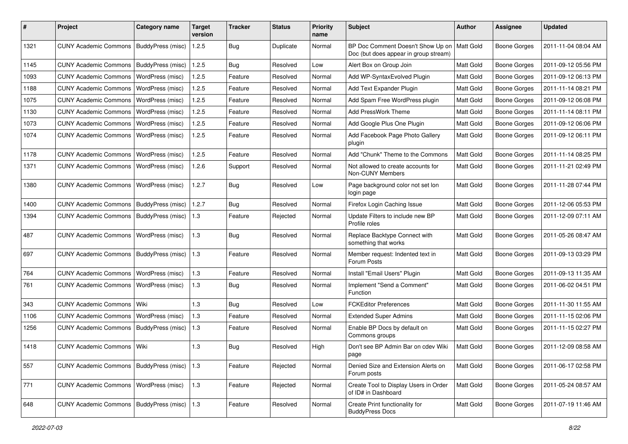| #    | Project                                   | Category name     | <b>Target</b><br>version | <b>Tracker</b> | <b>Status</b> | <b>Priority</b><br>name | Subject                                                                    | Author           | <b>Assignee</b>     | <b>Updated</b>      |
|------|-------------------------------------------|-------------------|--------------------------|----------------|---------------|-------------------------|----------------------------------------------------------------------------|------------------|---------------------|---------------------|
| 1321 | <b>CUNY Academic Commons</b>              | BuddyPress (misc) | 1.2.5                    | Bug            | Duplicate     | Normal                  | BP Doc Comment Doesn't Show Up on<br>Doc (but does appear in group stream) | <b>Matt Gold</b> | <b>Boone Gorges</b> | 2011-11-04 08:04 AM |
| 1145 | <b>CUNY Academic Commons</b>              | BuddyPress (misc) | 1.2.5                    | Bug            | Resolved      | Low                     | Alert Box on Group Join                                                    | Matt Gold        | <b>Boone Gorges</b> | 2011-09-12 05:56 PM |
| 1093 | <b>CUNY Academic Commons</b>              | WordPress (misc)  | 1.2.5                    | Feature        | Resolved      | Normal                  | Add WP-SyntaxEvolved Plugin                                                | <b>Matt Gold</b> | Boone Gorges        | 2011-09-12 06:13 PM |
| 1188 | <b>CUNY Academic Commons</b>              | WordPress (misc)  | 1.2.5                    | Feature        | Resolved      | Normal                  | Add Text Expander Plugin                                                   | Matt Gold        | <b>Boone Gorges</b> | 2011-11-14 08:21 PM |
| 1075 | <b>CUNY Academic Commons</b>              | WordPress (misc)  | 1.2.5                    | Feature        | Resolved      | Normal                  | Add Spam Free WordPress plugin                                             | Matt Gold        | <b>Boone Gorges</b> | 2011-09-12 06:08 PM |
| 1130 | <b>CUNY Academic Commons</b>              | WordPress (misc)  | 1.2.5                    | Feature        | Resolved      | Normal                  | Add PressWork Theme                                                        | Matt Gold        | <b>Boone Gorges</b> | 2011-11-14 08:11 PM |
| 1073 | <b>CUNY Academic Commons</b>              | WordPress (misc)  | 1.2.5                    | Feature        | Resolved      | Normal                  | Add Google Plus One Plugin                                                 | Matt Gold        | Boone Gorges        | 2011-09-12 06:06 PM |
| 1074 | <b>CUNY Academic Commons</b>              | WordPress (misc)  | 1.2.5                    | Feature        | Resolved      | Normal                  | Add Facebook Page Photo Gallery<br>plugin                                  | Matt Gold        | <b>Boone Gorges</b> | 2011-09-12 06:11 PM |
| 1178 | <b>CUNY Academic Commons</b>              | WordPress (misc)  | 1.2.5                    | Feature        | Resolved      | Normal                  | Add "Chunk" Theme to the Commons                                           | Matt Gold        | Boone Gorges        | 2011-11-14 08:25 PM |
| 1371 | <b>CUNY Academic Commons</b>              | WordPress (misc)  | 1.2.6                    | Support        | Resolved      | Normal                  | Not allowed to create accounts for<br>Non-CUNY Members                     | <b>Matt Gold</b> | Boone Gorges        | 2011-11-21 02:49 PM |
| 1380 | <b>CUNY Academic Commons</b>              | WordPress (misc)  | 1.2.7                    | Bug            | Resolved      | Low                     | Page background color not set lon<br>login page                            | <b>Matt Gold</b> | <b>Boone Gorges</b> | 2011-11-28 07:44 PM |
| 1400 | <b>CUNY Academic Commons</b>              | BuddyPress (misc) | 1.2.7                    | Bug            | Resolved      | Normal                  | Firefox Login Caching Issue                                                | Matt Gold        | <b>Boone Gorges</b> | 2011-12-06 05:53 PM |
| 1394 | CUNY Academic Commons   BuddyPress (misc) |                   | 1.3                      | Feature        | Rejected      | Normal                  | Update Filters to include new BP<br>Profile roles                          | <b>Matt Gold</b> | <b>Boone Gorges</b> | 2011-12-09 07:11 AM |
| 487  | <b>CUNY Academic Commons</b>              | WordPress (misc)  | 1.3                      | Bug            | Resolved      | Normal                  | Replace Backtype Connect with<br>something that works                      | Matt Gold        | Boone Gorges        | 2011-05-26 08:47 AM |
| 697  | <b>CUNY Academic Commons</b>              | BuddyPress (misc) | 1.3                      | Feature        | Resolved      | Normal                  | Member request: Indented text in<br>Forum Posts                            | <b>Matt Gold</b> | <b>Boone Gorges</b> | 2011-09-13 03:29 PM |
| 764  | <b>CUNY Academic Commons</b>              | WordPress (misc)  | 1.3                      | Feature        | Resolved      | Normal                  | Install "Email Users" Plugin                                               | Matt Gold        | <b>Boone Gorges</b> | 2011-09-13 11:35 AM |
| 761  | <b>CUNY Academic Commons</b>              | WordPress (misc)  | 1.3                      | Bug            | Resolved      | Normal                  | Implement "Send a Comment"<br>Function                                     | Matt Gold        | Boone Gorges        | 2011-06-02 04:51 PM |
| 343  | <b>CUNY Academic Commons</b>              | l Wiki            | 1.3                      | Bug            | Resolved      | Low                     | <b>FCKEditor Preferences</b>                                               | Matt Gold        | <b>Boone Gorges</b> | 2011-11-30 11:55 AM |
| 1106 | <b>CUNY Academic Commons</b>              | WordPress (misc)  | 1.3                      | Feature        | Resolved      | Normal                  | <b>Extended Super Admins</b>                                               | Matt Gold        | <b>Boone Gorges</b> | 2011-11-15 02:06 PM |
| 1256 | CUNY Academic Commons   BuddyPress (misc) |                   | 1.3                      | Feature        | Resolved      | Normal                  | Enable BP Docs by default on<br>Commons groups                             | <b>Matt Gold</b> | Boone Gorges        | 2011-11-15 02:27 PM |
| 1418 | CUNY Academic Commons   Wiki              |                   | 1.3                      | Bug            | Resolved      | High                    | Don't see BP Admin Bar on cdev Wiki<br>page                                | Matt Gold        | Boone Gorges        | 2011-12-09 08:58 AM |
| 557  | CUNY Academic Commons   BuddyPress (misc) |                   | 1.3                      | Feature        | Rejected      | Normal                  | Denied Size and Extension Alerts on<br>Forum posts                         | Matt Gold        | Boone Gorges        | 2011-06-17 02:58 PM |
| 771  | CUNY Academic Commons   WordPress (misc)  |                   | 1.3                      | Feature        | Rejected      | Normal                  | Create Tool to Display Users in Order<br>of ID# in Dashboard               | Matt Gold        | Boone Gorges        | 2011-05-24 08:57 AM |
| 648  | CUNY Academic Commons   BuddyPress (misc) |                   | $\vert$ 1.3              | Feature        | Resolved      | Normal                  | Create Print functionality for<br><b>BuddyPress Docs</b>                   | Matt Gold        | Boone Gorges        | 2011-07-19 11:46 AM |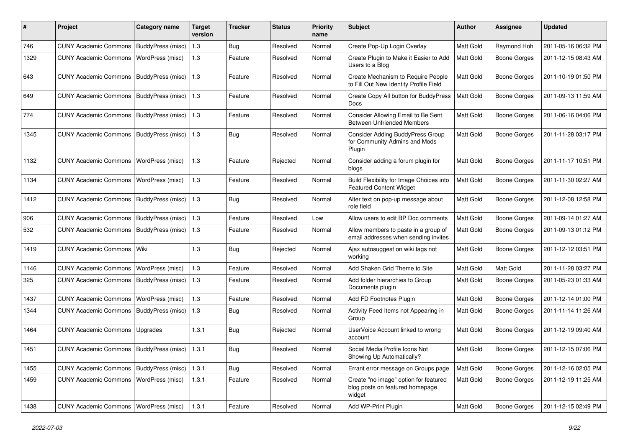| #    | Project                                   | <b>Category name</b> | <b>Target</b><br>version | <b>Tracker</b> | <b>Status</b> | <b>Priority</b><br>name | Subject                                                                            | <b>Author</b>    | <b>Assignee</b>     | <b>Updated</b>      |
|------|-------------------------------------------|----------------------|--------------------------|----------------|---------------|-------------------------|------------------------------------------------------------------------------------|------------------|---------------------|---------------------|
| 746  | <b>CUNY Academic Commons</b>              | BuddyPress (misc)    | 1.3                      | <b>Bug</b>     | Resolved      | Normal                  | Create Pop-Up Login Overlay                                                        | Matt Gold        | Raymond Hoh         | 2011-05-16 06:32 PM |
| 1329 | <b>CUNY Academic Commons</b>              | WordPress (misc)     | 1.3                      | Feature        | Resolved      | Normal                  | Create Plugin to Make it Easier to Add<br>Users to a Blog                          | Matt Gold        | <b>Boone Gorges</b> | 2011-12-15 08:43 AM |
| 643  | <b>CUNY Academic Commons</b>              | BuddyPress (misc)    | 1.3                      | Feature        | Resolved      | Normal                  | Create Mechanism to Require People<br>to Fill Out New Identity Profile Field       | Matt Gold        | <b>Boone Gorges</b> | 2011-10-19 01:50 PM |
| 649  | <b>CUNY Academic Commons</b>              | BuddyPress (misc)    | 1.3                      | Feature        | Resolved      | Normal                  | Create Copy All button for BuddyPress<br>Docs                                      | <b>Matt Gold</b> | <b>Boone Gorges</b> | 2011-09-13 11:59 AM |
| 774  | <b>CUNY Academic Commons</b>              | BuddyPress (misc)    | 1.3                      | Feature        | Resolved      | Normal                  | Consider Allowing Email to Be Sent<br><b>Between Unfriended Members</b>            | Matt Gold        | Boone Gorges        | 2011-06-16 04:06 PM |
| 1345 | <b>CUNY Academic Commons</b>              | BuddyPress (misc)    | 1.3                      | Bug            | Resolved      | Normal                  | Consider Adding BuddyPress Group<br>for Community Admins and Mods<br>Plugin        | Matt Gold        | Boone Gorges        | 2011-11-28 03:17 PM |
| 1132 | <b>CUNY Academic Commons</b>              | WordPress (misc)     | $1.3$                    | Feature        | Rejected      | Normal                  | Consider adding a forum plugin for<br>blogs                                        | Matt Gold        | Boone Gorges        | 2011-11-17 10:51 PM |
| 1134 | <b>CUNY Academic Commons</b>              | WordPress (misc)     | 1.3                      | Feature        | Resolved      | Normal                  | Build Flexibility for Image Choices into<br><b>Featured Content Widget</b>         | Matt Gold        | Boone Gorges        | 2011-11-30 02:27 AM |
| 1412 | <b>CUNY Academic Commons</b>              | BuddyPress (misc)    | 1.3                      | Bug            | Resolved      | Normal                  | Alter text on pop-up message about<br>role field                                   | <b>Matt Gold</b> | <b>Boone Gorges</b> | 2011-12-08 12:58 PM |
| 906  | <b>CUNY Academic Commons</b>              | BuddyPress (misc)    | 1.3                      | Feature        | Resolved      | Low                     | Allow users to edit BP Doc comments                                                | <b>Matt Gold</b> | <b>Boone Gorges</b> | 2011-09-14 01:27 AM |
| 532  | CUNY Academic Commons   BuddyPress (misc) |                      | 1.3                      | Feature        | Resolved      | Normal                  | Allow members to paste in a group of<br>email addresses when sending invites       | Matt Gold        | Boone Gorges        | 2011-09-13 01:12 PM |
| 1419 | <b>CUNY Academic Commons</b>              | Wiki                 | 1.3                      | Bug            | Rejected      | Normal                  | Ajax autosuggest on wiki tags not<br>working                                       | Matt Gold        | Boone Gorges        | 2011-12-12 03:51 PM |
| 1146 | <b>CUNY Academic Commons</b>              | WordPress (misc)     | 1.3                      | Feature        | Resolved      | Normal                  | Add Shaken Grid Theme to Site                                                      | Matt Gold        | Matt Gold           | 2011-11-28 03:27 PM |
| 325  | <b>CUNY Academic Commons</b>              | BuddyPress (misc)    | 1.3                      | Feature        | Resolved      | Normal                  | Add folder hierarchies to Group<br>Documents plugin                                | Matt Gold        | <b>Boone Gorges</b> | 2011-05-23 01:33 AM |
| 1437 | <b>CUNY Academic Commons</b>              | WordPress (misc)     | 1.3                      | Feature        | Resolved      | Normal                  | Add FD Footnotes Plugin                                                            | Matt Gold        | <b>Boone Gorges</b> | 2011-12-14 01:00 PM |
| 1344 | CUNY Academic Commons   BuddyPress (misc) |                      | 1.3                      | Bug            | Resolved      | Normal                  | Activity Feed Items not Appearing in<br>Group                                      | Matt Gold        | Boone Gorges        | 2011-11-14 11:26 AM |
| 1464 | <b>CUNY Academic Commons</b>              | Upgrades             | 1.3.1                    | Bug            | Rejected      | Normal                  | UserVoice Account linked to wrong<br>account                                       | Matt Gold        | Boone Gorges        | 2011-12-19 09:40 AM |
| 1451 | CUNY Academic Commons   BuddyPress (misc) |                      | 1.3.1                    | Bug            | Resolved      | Normal                  | Social Media Profile Icons Not<br>Showing Up Automatically?                        | Matt Gold        | Boone Gorges        | 2011-12-15 07:06 PM |
| 1455 | <b>CUNY Academic Commons</b>              | BuddyPress (misc)    | 1.3.1                    | Bug            | Resolved      | Normal                  | Errant error message on Groups page                                                | Matt Gold        | <b>Boone Gorges</b> | 2011-12-16 02:05 PM |
| 1459 | <b>CUNY Academic Commons</b>              | WordPress (misc)     | 1.3.1                    | Feature        | Resolved      | Normal                  | Create "no image" option for featured<br>blog posts on featured homepage<br>widget | Matt Gold        | <b>Boone Gorges</b> | 2011-12-19 11:25 AM |
| 1438 | CUNY Academic Commons   WordPress (misc)  |                      | 1.3.1                    | Feature        | Resolved      | Normal                  | Add WP-Print Plugin                                                                | Matt Gold        | Boone Gorges        | 2011-12-15 02:49 PM |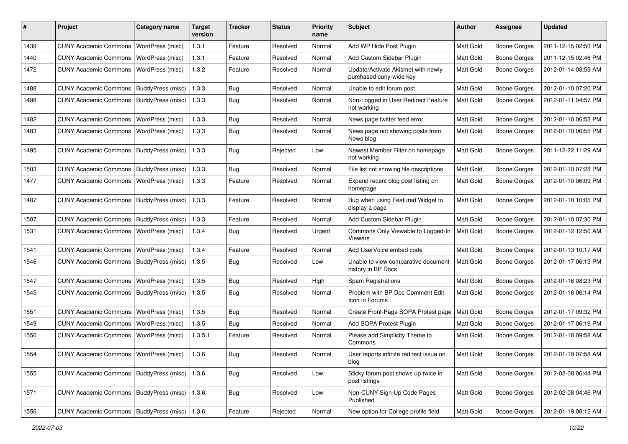| #    | Project                                           | Category name     | <b>Target</b><br>version | <b>Tracker</b> | <b>Status</b> | <b>Priority</b><br>name | <b>Subject</b>                                                | Author           | <b>Assignee</b>     | <b>Updated</b>      |
|------|---------------------------------------------------|-------------------|--------------------------|----------------|---------------|-------------------------|---------------------------------------------------------------|------------------|---------------------|---------------------|
| 1439 | <b>CUNY Academic Commons</b>                      | WordPress (misc)  | 1.3.1                    | Feature        | Resolved      | Normal                  | Add WP Hide Post Plugin                                       | Matt Gold        | <b>Boone Gorges</b> | 2011-12-15 02:50 PM |
| 1440 | <b>CUNY Academic Commons</b>                      | WordPress (misc)  | 1.3.1                    | Feature        | Resolved      | Normal                  | Add Custom Sidebar Plugin                                     | <b>Matt Gold</b> | <b>Boone Gorges</b> | 2011-12-15 02:46 PM |
| 1472 | <b>CUNY Academic Commons</b>                      | WordPress (misc)  | 1.3.2                    | Feature        | Resolved      | Normal                  | Update/Activate Akismet with newly<br>purchased cuny-wide key | Matt Gold        | <b>Boone Gorges</b> | 2012-01-14 08:59 AM |
| 1488 | CUNY Academic Commons   BuddyPress (misc)         |                   | 1.3.3                    | Bug            | Resolved      | Normal                  | Unable to edit forum post                                     | Matt Gold        | <b>Boone Gorges</b> | 2012-01-10 07:20 PM |
| 1498 | CUNY Academic Commons   BuddyPress (misc)         |                   | 1.3.3                    | Bug            | Resolved      | Normal                  | Non-Logged in User Redirect Feature<br>not working            | Matt Gold        | <b>Boone Gorges</b> | 2012-01-11 04:57 PM |
| 1482 | <b>CUNY Academic Commons</b>                      | WordPress (misc)  | 1.3.3                    | <b>Bug</b>     | Resolved      | Normal                  | News page twitter feed error                                  | Matt Gold        | <b>Boone Gorges</b> | 2012-01-10 06:53 PM |
| 1483 | <b>CUNY Academic Commons</b>                      | WordPress (misc)  | 1.3.3                    | Bug            | Resolved      | Normal                  | News page not showing posts from<br>News blog                 | Matt Gold        | <b>Boone Gorges</b> | 2012-01-10 06:55 PM |
| 1495 | CUNY Academic Commons   BuddyPress (misc)         |                   | 1.3.3                    | Bug            | Rejected      | Low                     | Newest Member Filter on homepage<br>not working               | Matt Gold        | Boone Gorges        | 2011-12-22 11:29 AM |
| 1503 | CUNY Academic Commons   BuddyPress (misc)         |                   | 1.3.3                    | Bug            | Resolved      | Normal                  | File list not showing file descriptions                       | Matt Gold        | <b>Boone Gorges</b> | 2012-01-10 07:28 PM |
| 1477 | <b>CUNY Academic Commons</b>                      | WordPress (misc)  | 1.3.3                    | Feature        | Resolved      | Normal                  | Expand recent blog post listing on<br>homepage                | <b>Matt Gold</b> | <b>Boone Gorges</b> | 2012-01-10 06:09 PM |
| 1487 | <b>CUNY Academic Commons</b>                      | BuddyPress (misc) | 1.3.3                    | Feature        | Resolved      | Normal                  | Bug when using Featured Widget to<br>display a page           | Matt Gold        | <b>Boone Gorges</b> | 2012-01-10 10:05 PM |
| 1507 | CUNY Academic Commons   BuddyPress (misc)         |                   | 1.3.3                    | Feature        | Resolved      | Normal                  | Add Custom Sidebar Plugin                                     | Matt Gold        | <b>Boone Gorges</b> | 2012-01-10 07:30 PM |
| 1531 | <b>CUNY Academic Commons</b>                      | WordPress (misc)  | 1.3.4                    | Bug            | Resolved      | Urgent                  | Commons Only Viewable to Logged-In<br>Viewers                 | <b>Matt Gold</b> | Boone Gorges        | 2012-01-12 12:50 AM |
| 1541 | <b>CUNY Academic Commons</b>                      | WordPress (misc)  | 1.3.4                    | Feature        | Resolved      | Normal                  | Add UserVoice embed code                                      | Matt Gold        | <b>Boone Gorges</b> | 2012-01-13 10:17 AM |
| 1546 | <b>CUNY Academic Commons</b>                      | BuddyPress (misc) | 1.3.5                    | Bug            | Resolved      | Low                     | Unable to view comparative document<br>history in BP Docs     | Matt Gold        | Boone Gorges        | 2012-01-17 06:13 PM |
| 1547 | <b>CUNY Academic Commons</b>                      | WordPress (misc)  | 1.3.5                    | Bug            | Resolved      | High                    | Spam Registrations                                            | Matt Gold        | <b>Boone Gorges</b> | 2012-01-16 08:23 PM |
| 1545 | CUNY Academic Commons   BuddyPress (misc)         |                   | 1.3.5                    | Bug            | Resolved      | Normal                  | Problem with BP Doc Comment Edit<br>Icon in Forums            | <b>Matt Gold</b> | <b>Boone Gorges</b> | 2012-01-16 06:14 PM |
| 1551 | <b>CUNY Academic Commons</b>                      | WordPress (misc)  | 1.3.5                    | Bug            | Resolved      | Normal                  | Create Front-Page SOPA Protest page                           | <b>Matt Gold</b> | <b>Boone Gorges</b> | 2012-01-17 09:32 PM |
| 1549 | <b>CUNY Academic Commons</b>                      | WordPress (misc)  | 1.3.5                    | Bug            | Resolved      | Normal                  | Add SOPA Protest Plugin                                       | Matt Gold        | <b>Boone Gorges</b> | 2012-01-17 06:19 PM |
| 1550 | <b>CUNY Academic Commons</b>                      | WordPress (misc)  | 1.3.5.1                  | Feature        | Resolved      | Normal                  | Please add Simplicity Theme to<br>Commons                     | Matt Gold        | <b>Boone Gorges</b> | 2012-01-18 09:58 AM |
| 1554 | CUNY Academic Commons   WordPress (misc)          |                   | 1.3.6                    | Bug            | Resolved      | Normal                  | User reports infinite redirect issue on<br>blog               | Matt Gold        | Boone Gorges        | 2012-01-19 07:58 AM |
| 1555 | CUNY Academic Commons   BuddyPress (misc)   1.3.6 |                   |                          | Bug            | Resolved      | Low                     | Sticky forum post shows up twice in<br>post listings          | Matt Gold        | Boone Gorges        | 2012-02-08 06:44 PM |
| 1571 | CUNY Academic Commons   BuddyPress (misc)         |                   | 1.3.6                    | Bug            | Resolved      | Low                     | Non-CUNY Sign-Up Code Pages<br>Published                      | Matt Gold        | Boone Gorges        | 2012-02-08 04:46 PM |
| 1556 | CUNY Academic Commons   BuddyPress (misc)         |                   | 1.3.6                    | Feature        | Rejected      | Normal                  | New option for College profile field                          | Matt Gold        | Boone Gorges        | 2012-01-19 08:12 AM |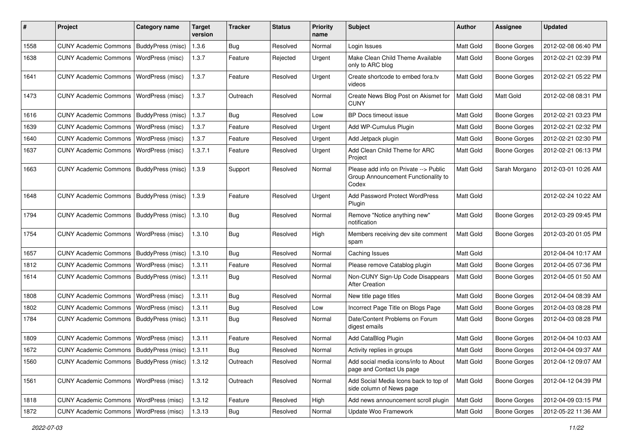| #    | Project                                   | <b>Category name</b> | <b>Target</b><br>version | <b>Tracker</b> | <b>Status</b> | <b>Priority</b><br>name | Subject                                                                               | Author           | <b>Assignee</b>     | <b>Updated</b>      |
|------|-------------------------------------------|----------------------|--------------------------|----------------|---------------|-------------------------|---------------------------------------------------------------------------------------|------------------|---------------------|---------------------|
| 1558 | CUNY Academic Commons   BuddyPress (misc) |                      | 1.3.6                    | Bug            | Resolved      | Normal                  | Login Issues                                                                          | Matt Gold        | <b>Boone Gorges</b> | 2012-02-08 06:40 PM |
| 1638 | <b>CUNY Academic Commons</b>              | WordPress (misc)     | 1.3.7                    | Feature        | Rejected      | Urgent                  | Make Clean Child Theme Available<br>only to ARC blog                                  | <b>Matt Gold</b> | <b>Boone Gorges</b> | 2012-02-21 02:39 PM |
| 1641 | <b>CUNY Academic Commons</b>              | WordPress (misc)     | 1.3.7                    | Feature        | Resolved      | Urgent                  | Create shortcode to embed fora.tv<br>videos                                           | Matt Gold        | <b>Boone Gorges</b> | 2012-02-21 05:22 PM |
| 1473 | <b>CUNY Academic Commons</b>              | WordPress (misc)     | 1.3.7                    | Outreach       | Resolved      | Normal                  | Create News Blog Post on Akismet for<br><b>CUNY</b>                                   | <b>Matt Gold</b> | Matt Gold           | 2012-02-08 08:31 PM |
| 1616 | <b>CUNY Academic Commons</b>              | BuddyPress (misc)    | 1.3.7                    | Bug            | Resolved      | Low                     | BP Docs timeout issue                                                                 | Matt Gold        | <b>Boone Gorges</b> | 2012-02-21 03:23 PM |
| 1639 | <b>CUNY Academic Commons</b>              | WordPress (misc)     | 1.3.7                    | Feature        | Resolved      | Urgent                  | Add WP-Cumulus Plugin                                                                 | Matt Gold        | <b>Boone Gorges</b> | 2012-02-21 02:32 PM |
| 1640 | <b>CUNY Academic Commons</b>              | WordPress (misc)     | 1.3.7                    | Feature        | Resolved      | Urgent                  | Add Jetpack plugin                                                                    | Matt Gold        | <b>Boone Gorges</b> | 2012-02-21 02:30 PM |
| 1637 | <b>CUNY Academic Commons</b>              | WordPress (misc)     | 1.3.7.1                  | Feature        | Resolved      | Urgent                  | Add Clean Child Theme for ARC<br>Project                                              | <b>Matt Gold</b> | <b>Boone Gorges</b> | 2012-02-21 06:13 PM |
| 1663 | <b>CUNY Academic Commons</b>              | BuddyPress (misc)    | 1.3.9                    | Support        | Resolved      | Normal                  | Please add info on Private --> Public<br>Group Announcement Functionality to<br>Codex | <b>Matt Gold</b> | Sarah Morgano       | 2012-03-01 10:26 AM |
| 1648 | <b>CUNY Academic Commons</b>              | BuddyPress (misc)    | 1.3.9                    | Feature        | Resolved      | Urgent                  | <b>Add Password Protect WordPress</b><br>Plugin                                       | <b>Matt Gold</b> |                     | 2012-02-24 10:22 AM |
| 1794 | CUNY Academic Commons   BuddyPress (misc) |                      | 1.3.10                   | Bug            | Resolved      | Normal                  | Remove "Notice anything new"<br>notification                                          | Matt Gold        | Boone Gorges        | 2012-03-29 09:45 PM |
| 1754 | <b>CUNY Academic Commons</b>              | WordPress (misc)     | 1.3.10                   | Bug            | Resolved      | High                    | Members receiving dev site comment<br>spam                                            | <b>Matt Gold</b> | Boone Gorges        | 2012-03-20 01:05 PM |
| 1657 | <b>CUNY Academic Commons</b>              | BuddyPress (misc)    | 1.3.10                   | <b>Bug</b>     | Resolved      | Normal                  | Caching Issues                                                                        | <b>Matt Gold</b> |                     | 2012-04-04 10:17 AM |
| 1812 | <b>CUNY Academic Commons</b>              | WordPress (misc)     | 1.3.11                   | Feature        | Resolved      | Normal                  | Please remove Catablog plugin                                                         | Matt Gold        | <b>Boone Gorges</b> | 2012-04-05 07:36 PM |
| 1614 | <b>CUNY Academic Commons</b>              | BuddyPress (misc)    | 1.3.11                   | Bug            | Resolved      | Normal                  | Non-CUNY Sign-Up Code Disappears<br><b>After Creation</b>                             | <b>Matt Gold</b> | Boone Gorges        | 2012-04-05 01:50 AM |
| 1808 | <b>CUNY Academic Commons</b>              | WordPress (misc)     | 1.3.11                   | <b>Bug</b>     | Resolved      | Normal                  | New title page titles                                                                 | Matt Gold        | <b>Boone Gorges</b> | 2012-04-04 08:39 AM |
| 1802 | <b>CUNY Academic Commons</b>              | WordPress (misc)     | 1.3.11                   | <b>Bug</b>     | Resolved      | Low                     | Incorrect Page Title on Blogs Page                                                    | Matt Gold        | Boone Gorges        | 2012-04-03 08:28 PM |
| 1784 | <b>CUNY Academic Commons</b>              | BuddyPress (misc)    | 1.3.11                   | Bug            | Resolved      | Normal                  | Date/Content Problems on Forum<br>digest emails                                       | <b>Matt Gold</b> | Boone Gorges        | 2012-04-03 08:28 PM |
| 1809 | <b>CUNY Academic Commons</b>              | WordPress (misc)     | 1.3.11                   | Feature        | Resolved      | Normal                  | Add CataBlog Plugin                                                                   | Matt Gold        | <b>Boone Gorges</b> | 2012-04-04 10:03 AM |
| 1672 | CUNY Academic Commons   BuddyPress (misc) |                      | 1.3.11                   | Bug            | Resolved      | Normal                  | Activity replies in groups                                                            | Matt Gold        | <b>Boone Gorges</b> | 2012-04-04 09:37 AM |
| 1560 | CUNY Academic Commons   BuddyPress (misc) |                      | 1.3.12                   | Outreach       | Resolved      | Normal                  | Add social media icons/info to About<br>page and Contact Us page                      | Matt Gold        | Boone Gorges        | 2012-04-12 09:07 AM |
| 1561 | <b>CUNY Academic Commons</b>              | WordPress (misc)     | 1.3.12                   | Outreach       | Resolved      | Normal                  | Add Social Media Icons back to top of<br>side column of News page                     | Matt Gold        | Boone Gorges        | 2012-04-12 04:39 PM |
| 1818 | CUNY Academic Commons   WordPress (misc)  |                      | 1.3.12                   | Feature        | Resolved      | High                    | Add news announcement scroll plugin                                                   | Matt Gold        | Boone Gorges        | 2012-04-09 03:15 PM |
| 1872 | CUNY Academic Commons   WordPress (misc)  |                      | 1.3.13                   | Bug            | Resolved      | Normal                  | Update Woo Framework                                                                  | Matt Gold        | Boone Gorges        | 2012-05-22 11:36 AM |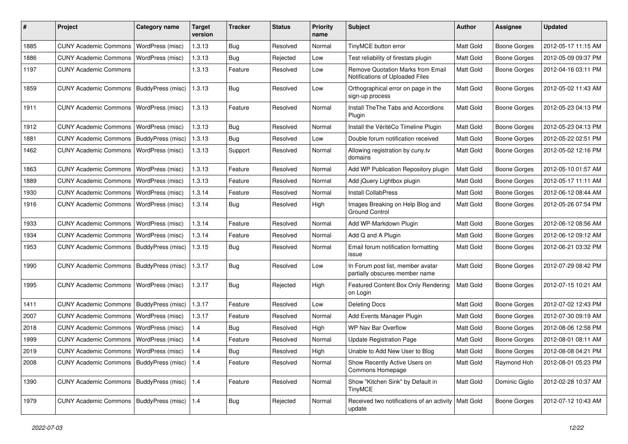| #    | Project                                  | <b>Category name</b>    | <b>Target</b><br>version | <b>Tracker</b> | <b>Status</b> | <b>Priority</b><br>name | <b>Subject</b>                                                       | <b>Author</b> | Assignee            | <b>Updated</b>      |
|------|------------------------------------------|-------------------------|--------------------------|----------------|---------------|-------------------------|----------------------------------------------------------------------|---------------|---------------------|---------------------|
| 1885 | <b>CUNY Academic Commons</b>             | WordPress (misc)        | 1.3.13                   | Bug            | Resolved      | Normal                  | TinyMCE button error                                                 | Matt Gold     | <b>Boone Gorges</b> | 2012-05-17 11:15 AM |
| 1886 | <b>CUNY Academic Commons</b>             | WordPress (misc)        | 1.3.13                   | Bug            | Rejected      | Low                     | Test reliability of firestats plugin                                 | Matt Gold     | <b>Boone Gorges</b> | 2012-05-09 09:37 PM |
| 1197 | <b>CUNY Academic Commons</b>             |                         | 1.3.13                   | Feature        | Resolved      | Low                     | Remove Quotation Marks from Email<br>Notifications of Uploaded Files | Matt Gold     | <b>Boone Gorges</b> | 2012-04-16 03:11 PM |
| 1859 | <b>CUNY Academic Commons</b>             | BuddyPress (misc)       | 1.3.13                   | Bug            | Resolved      | Low                     | Orthographical error on page in the<br>sign-up process               | Matt Gold     | <b>Boone Gorges</b> | 2012-05-02 11:43 AM |
| 1911 | <b>CUNY Academic Commons</b>             | <b>WordPress (misc)</b> | 1.3.13                   | Feature        | Resolved      | Normal                  | Install The The Tabs and Accordions<br>Plugin                        | Matt Gold     | <b>Boone Gorges</b> | 2012-05-23 04:13 PM |
| 1912 | <b>CUNY Academic Commons</b>             | <b>WordPress (misc)</b> | 1.3.13                   | Bug            | Resolved      | Normal                  | Install the VéritéCo Timeline Plugin                                 | Matt Gold     | <b>Boone Gorges</b> | 2012-05-23 04:13 PM |
| 1881 | <b>CUNY Academic Commons</b>             | BuddyPress (misc)       | 1.3.13                   | Bug            | Resolved      | Low                     | Double forum notification received                                   | Matt Gold     | <b>Boone Gorges</b> | 2012-05-22 02:51 PM |
| 1462 | <b>CUNY Academic Commons</b>             | WordPress (misc)        | 1.3.13                   | Support        | Resolved      | Normal                  | Allowing registration by cuny.tv<br>domains                          | Matt Gold     | <b>Boone Gorges</b> | 2012-05-02 12:16 PM |
| 1863 | <b>CUNY Academic Commons</b>             | <b>WordPress (misc)</b> | 1.3.13                   | Feature        | Resolved      | Normal                  | Add WP Publication Repository plugin                                 | Matt Gold     | <b>Boone Gorges</b> | 2012-05-10 01:57 AM |
| 1889 | <b>CUNY Academic Commons</b>             | <b>WordPress (misc)</b> | 1.3.13                   | Feature        | Resolved      | Normal                  | Add jQuery Lightbox plugin                                           | Matt Gold     | <b>Boone Gorges</b> | 2012-05-17 11:11 AM |
| 1930 | <b>CUNY Academic Commons</b>             | WordPress (misc)        | 1.3.14                   | Feature        | Resolved      | Normal                  | Install CollabPress                                                  | Matt Gold     | <b>Boone Gorges</b> | 2012-06-12 08:44 AM |
| 1916 | <b>CUNY Academic Commons</b>             | WordPress (misc)        | 1.3.14                   | Bug            | Resolved      | High                    | Images Breaking on Help Blog and<br><b>Ground Control</b>            | Matt Gold     | Boone Gorges        | 2012-05-26 07:54 PM |
| 1933 | <b>CUNY Academic Commons</b>             | WordPress (misc)        | 1.3.14                   | Feature        | Resolved      | Normal                  | Add WP-Markdown Plugin                                               | Matt Gold     | <b>Boone Gorges</b> | 2012-06-12 08:56 AM |
| 1934 | <b>CUNY Academic Commons</b>             | WordPress (misc)        | 1.3.14                   | Feature        | Resolved      | Normal                  | Add Q and A Plugin                                                   | Matt Gold     | <b>Boone Gorges</b> | 2012-06-12 09:12 AM |
| 1953 | <b>CUNY Academic Commons</b>             | BuddyPress (misc)       | 1.3.15                   | Bug            | Resolved      | Normal                  | Email forum notification formatting<br>issue                         | Matt Gold     | <b>Boone Gorges</b> | 2012-06-21 03:32 PM |
| 1990 | <b>CUNY Academic Commons</b>             | BuddyPress (misc)       | 1.3.17                   | <b>Bug</b>     | Resolved      | Low                     | In Forum post list, member avatar<br>partially obscures member name  | Matt Gold     | <b>Boone Gorges</b> | 2012-07-29 08:42 PM |
| 1995 | <b>CUNY Academic Commons</b>             | WordPress (misc)        | 1.3.17                   | <b>Bug</b>     | Rejected      | High                    | Featured Content Box Only Rendering<br>on Login                      | Matt Gold     | <b>Boone Gorges</b> | 2012-07-15 10:21 AM |
| 1411 | <b>CUNY Academic Commons</b>             | BuddyPress (misc)       | 1.3.17                   | Feature        | Resolved      | Low                     | <b>Deleting Docs</b>                                                 | Matt Gold     | <b>Boone Gorges</b> | 2012-07-02 12:43 PM |
| 2007 | <b>CUNY Academic Commons</b>             | WordPress (misc)        | 1.3.17                   | Feature        | Resolved      | Normal                  | Add Events Manager Plugin                                            | Matt Gold     | <b>Boone Gorges</b> | 2012-07-30 09:19 AM |
| 2018 | <b>CUNY Academic Commons</b>             | WordPress (misc)        | 1.4                      | Bug            | Resolved      | High                    | WP Nav Bar Overflow                                                  | Matt Gold     | <b>Boone Gorges</b> | 2012-08-06 12:58 PM |
| 1999 | <b>CUNY Academic Commons</b>             | <b>WordPress (misc)</b> | 1.4                      | Feature        | Resolved      | Normal                  | <b>Update Registration Page</b>                                      | Matt Gold     | <b>Boone Gorges</b> | 2012-08-01 08:11 AM |
| 2019 | CUNY Academic Commons   WordPress (misc) |                         | 1.4                      | Bug            | Resolved      | High                    | Unable to Add New User to Blog                                       | Matt Gold     | <b>Boone Gorges</b> | 2012-08-08 04:21 PM |
| 2008 | <b>CUNY Academic Commons</b>             | BuddyPress (misc) 1.4   |                          | Feature        | Resolved      | Normal                  | Show Recently Active Users on<br>Commons Homepage                    | Matt Gold     | Raymond Hoh         | 2012-08-01 05:23 PM |
| 1390 | <b>CUNY Academic Commons</b>             | BuddyPress (misc)   1.4 |                          | Feature        | Resolved      | Normal                  | Show "Kitchen Sink" by Default in<br><b>TinyMCE</b>                  | Matt Gold     | Dominic Giglio      | 2012-02-28 10:37 AM |
| 1979 | <b>CUNY Academic Commons</b>             | BuddyPress (misc)   1.4 |                          | <b>Bug</b>     | Rejected      | Normal                  | Received two notifications of an activity<br>update                  | Matt Gold     | <b>Boone Gorges</b> | 2012-07-12 10:43 AM |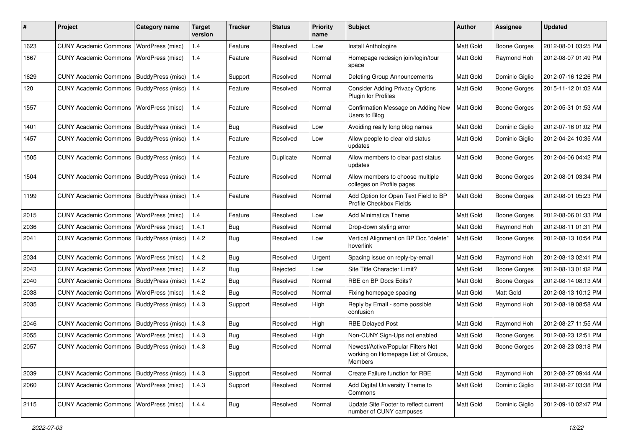| #    | Project                                   | Category name     | <b>Target</b><br>version | <b>Tracker</b> | <b>Status</b> | <b>Priority</b><br>name | Subject                                                                                    | Author           | Assignee            | <b>Updated</b>      |
|------|-------------------------------------------|-------------------|--------------------------|----------------|---------------|-------------------------|--------------------------------------------------------------------------------------------|------------------|---------------------|---------------------|
| 1623 | <b>CUNY Academic Commons</b>              | WordPress (misc)  | 1.4                      | Feature        | Resolved      | Low                     | Install Anthologize                                                                        | Matt Gold        | <b>Boone Gorges</b> | 2012-08-01 03:25 PM |
| 1867 | <b>CUNY Academic Commons</b>              | WordPress (misc)  | 1.4                      | Feature        | Resolved      | Normal                  | Homepage redesign join/login/tour<br>space                                                 | Matt Gold        | Raymond Hoh         | 2012-08-07 01:49 PM |
| 1629 | <b>CUNY Academic Commons</b>              | BuddyPress (misc) | 1.4                      | Support        | Resolved      | Normal                  | Deleting Group Announcements                                                               | Matt Gold        | Dominic Giglio      | 2012-07-16 12:26 PM |
| 120  | <b>CUNY Academic Commons</b>              | BuddyPress (misc) | 1.4                      | Feature        | Resolved      | Normal                  | <b>Consider Adding Privacy Options</b><br>Plugin for Profiles                              | Matt Gold        | Boone Gorges        | 2015-11-12 01:02 AM |
| 1557 | <b>CUNY Academic Commons</b>              | WordPress (misc)  | 1.4                      | Feature        | Resolved      | Normal                  | Confirmation Message on Adding New<br>Users to Blog                                        | Matt Gold        | <b>Boone Gorges</b> | 2012-05-31 01:53 AM |
| 1401 | <b>CUNY Academic Commons</b>              | BuddyPress (misc) | 1.4                      | Bug            | Resolved      | Low                     | Avoiding really long blog names                                                            | Matt Gold        | Dominic Giglio      | 2012-07-16 01:02 PM |
| 1457 | <b>CUNY Academic Commons</b>              | BuddyPress (misc) | 1.4                      | Feature        | Resolved      | Low                     | Allow people to clear old status<br>updates                                                | Matt Gold        | Dominic Giglio      | 2012-04-24 10:35 AM |
| 1505 | <b>CUNY Academic Commons</b>              | BuddyPress (misc) | 1.4                      | Feature        | Duplicate     | Normal                  | Allow members to clear past status<br>updates                                              | <b>Matt Gold</b> | <b>Boone Gorges</b> | 2012-04-06 04:42 PM |
| 1504 | <b>CUNY Academic Commons</b>              | BuddyPress (misc) | 1.4                      | Feature        | Resolved      | Normal                  | Allow members to choose multiple<br>colleges on Profile pages                              | Matt Gold        | <b>Boone Gorges</b> | 2012-08-01 03:34 PM |
| 1199 | <b>CUNY Academic Commons</b>              | BuddyPress (misc) | 1.4                      | Feature        | Resolved      | Normal                  | Add Option for Open Text Field to BP<br>Profile Checkbox Fields                            | Matt Gold        | Boone Gorges        | 2012-08-01 05:23 PM |
| 2015 | <b>CUNY Academic Commons</b>              | WordPress (misc)  | $1.4$                    | Feature        | Resolved      | Low                     | <b>Add Minimatica Theme</b>                                                                | Matt Gold        | <b>Boone Gorges</b> | 2012-08-06 01:33 PM |
| 2036 | <b>CUNY Academic Commons</b>              | WordPress (misc)  | 1.4.1                    | Bug            | Resolved      | Normal                  | Drop-down styling error                                                                    | Matt Gold        | Raymond Hoh         | 2012-08-11 01:31 PM |
| 2041 | <b>CUNY Academic Commons</b>              | BuddyPress (misc) | 1.4.2                    | Bug            | Resolved      | Low                     | Vertical Alignment on BP Doc "delete"<br>hoverlink                                         | <b>Matt Gold</b> | <b>Boone Gorges</b> | 2012-08-13 10:54 PM |
| 2034 | <b>CUNY Academic Commons</b>              | WordPress (misc)  | 1.4.2                    | Bug            | Resolved      | Urgent                  | Spacing issue on reply-by-email                                                            | Matt Gold        | Raymond Hoh         | 2012-08-13 02:41 PM |
| 2043 | <b>CUNY Academic Commons</b>              | WordPress (misc)  | 1.4.2                    | Bug            | Rejected      | Low                     | Site Title Character Limit?                                                                | Matt Gold        | <b>Boone Gorges</b> | 2012-08-13 01:02 PM |
| 2040 | <b>CUNY Academic Commons</b>              | BuddyPress (misc) | 1.4.2                    | <b>Bug</b>     | Resolved      | Normal                  | RBE on BP Docs Edits?                                                                      | Matt Gold        | Boone Gorges        | 2012-08-14 08:13 AM |
| 2038 | <b>CUNY Academic Commons</b>              | WordPress (misc)  | 1.4.2                    | Bug            | Resolved      | Normal                  | Fixing homepage spacing                                                                    | Matt Gold        | Matt Gold           | 2012-08-13 10:12 PM |
| 2035 | <b>CUNY Academic Commons</b>              | BuddyPress (misc) | 1.4.3                    | Support        | Resolved      | High                    | Reply by Email - some possible<br>confusion                                                | Matt Gold        | Raymond Hoh         | 2012-08-19 08:58 AM |
| 2046 | <b>CUNY Academic Commons</b>              | BuddyPress (misc) | 1.4.3                    | Bug            | Resolved      | High                    | <b>RBE Delayed Post</b>                                                                    | Matt Gold        | Raymond Hoh         | 2012-08-27 11:55 AM |
| 2055 | <b>CUNY Academic Commons</b>              | WordPress (misc)  | 1.4.3                    | Bug            | Resolved      | High                    | Non-CUNY Sign-Ups not enabled                                                              | Matt Gold        | <b>Boone Gorges</b> | 2012-08-23 12:51 PM |
| 2057 | CUNY Academic Commons   BuddyPress (misc) |                   | 1.4.3                    | Bug            | Resolved      | Normal                  | Newest/Active/Popular Filters Not<br>working on Homepage List of Groups,<br><b>Members</b> | Matt Gold        | Boone Gorges        | 2012-08-23 03:18 PM |
| 2039 | CUNY Academic Commons   BuddyPress (misc) |                   | 1.4.3                    | Support        | Resolved      | Normal                  | Create Failure function for RBE                                                            | Matt Gold        | Raymond Hoh         | 2012-08-27 09:44 AM |
| 2060 | <b>CUNY Academic Commons</b>              | WordPress (misc)  | 1.4.3                    | Support        | Resolved      | Normal                  | Add Digital University Theme to<br>Commons                                                 | Matt Gold        | Dominic Giglio      | 2012-08-27 03:38 PM |
| 2115 | CUNY Academic Commons   WordPress (misc)  |                   | 1.4.4                    | Bug            | Resolved      | Normal                  | Update Site Footer to reflect current<br>number of CUNY campuses                           | Matt Gold        | Dominic Giglio      | 2012-09-10 02:47 PM |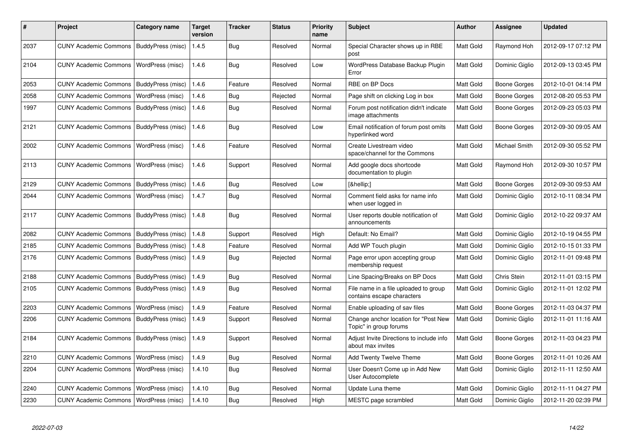| #    | Project                                   | Category name            | <b>Target</b><br>version | Tracker    | <b>Status</b> | <b>Priority</b><br>name | <b>Subject</b>                                                      | Author           | Assignee            | <b>Updated</b>      |
|------|-------------------------------------------|--------------------------|--------------------------|------------|---------------|-------------------------|---------------------------------------------------------------------|------------------|---------------------|---------------------|
| 2037 | CUNY Academic Commons   BuddyPress (misc) |                          | 1.4.5                    | Bug        | Resolved      | Normal                  | Special Character shows up in RBE<br>post                           | Matt Gold        | Raymond Hoh         | 2012-09-17 07:12 PM |
| 2104 | <b>CUNY Academic Commons</b>              | WordPress (misc)         | 1.4.6                    | Bug        | Resolved      | Low                     | WordPress Database Backup Plugin<br>Error                           | Matt Gold        | Dominic Giglio      | 2012-09-13 03:45 PM |
| 2053 | <b>CUNY Academic Commons</b>              | BuddyPress (misc)        | 1.4.6                    | Feature    | Resolved      | Normal                  | RBE on BP Docs                                                      | Matt Gold        | Boone Gorges        | 2012-10-01 04:14 PM |
| 2058 | <b>CUNY Academic Commons</b>              | WordPress (misc)         | 1.4.6                    | Bug        | Rejected      | Normal                  | Page shift on clicking Log in box                                   | Matt Gold        | Boone Gorges        | 2012-08-20 05:53 PM |
| 1997 | <b>CUNY Academic Commons</b>              | BuddyPress (misc)        | 1.4.6                    | Bug        | Resolved      | Normal                  | Forum post notification didn't indicate<br>image attachments        | Matt Gold        | Boone Gorges        | 2012-09-23 05:03 PM |
| 2121 | <b>CUNY Academic Commons</b>              | BuddyPress (misc)        | 1.4.6                    | Bug        | Resolved      | Low                     | Email notification of forum post omits<br>hyperlinked word          | Matt Gold        | Boone Gorges        | 2012-09-30 09:05 AM |
| 2002 | <b>CUNY Academic Commons</b>              | WordPress (misc)         | 1.4.6                    | Feature    | Resolved      | Normal                  | Create Livestream video<br>space/channel for the Commons            | Matt Gold        | Michael Smith       | 2012-09-30 05:52 PM |
| 2113 | <b>CUNY Academic Commons</b>              | WordPress (misc)         | 1.4.6                    | Support    | Resolved      | Normal                  | Add google docs shortcode<br>documentation to plugin                | Matt Gold        | Raymond Hoh         | 2012-09-30 10:57 PM |
| 2129 | <b>CUNY Academic Commons</b>              | BuddyPress (misc)        | 1.4.6                    | Bug        | Resolved      | Low                     | […]                                                                 | Matt Gold        | <b>Boone Gorges</b> | 2012-09-30 09:53 AM |
| 2044 | <b>CUNY Academic Commons</b>              | WordPress (misc)         | 1.4.7                    | <b>Bug</b> | Resolved      | Normal                  | Comment field asks for name info<br>when user logged in             | Matt Gold        | Dominic Giglio      | 2012-10-11 08:34 PM |
| 2117 | <b>CUNY Academic Commons</b>              | BuddyPress (misc)        | 1.4.8                    | <b>Bug</b> | Resolved      | Normal                  | User reports double notification of<br>announcements                | <b>Matt Gold</b> | Dominic Giglio      | 2012-10-22 09:37 AM |
| 2082 | <b>CUNY Academic Commons</b>              | <b>BuddyPress (misc)</b> | 1.4.8                    | Support    | Resolved      | High                    | Default: No Email?                                                  | Matt Gold        | Dominic Giglio      | 2012-10-19 04:55 PM |
| 2185 | <b>CUNY Academic Commons</b>              | BuddyPress (misc)        | 1.4.8                    | Feature    | Resolved      | Normal                  | Add WP Touch plugin                                                 | Matt Gold        | Dominic Giglio      | 2012-10-15 01:33 PM |
| 2176 | <b>CUNY Academic Commons</b>              | BuddyPress (misc)        | 1.4.9                    | <b>Bug</b> | Rejected      | Normal                  | Page error upon accepting group<br>membership request               | Matt Gold        | Dominic Giglio      | 2012-11-01 09:48 PM |
| 2188 | <b>CUNY Academic Commons</b>              | BuddyPress (misc)        | 1.4.9                    | <b>Bug</b> | Resolved      | Normal                  | Line Spacing/Breaks on BP Docs                                      | Matt Gold        | Chris Stein         | 2012-11-01 03:15 PM |
| 2105 | <b>CUNY Academic Commons</b>              | BuddyPress (misc)        | 1.4.9                    | Bug        | Resolved      | Normal                  | File name in a file uploaded to group<br>contains escape characters | Matt Gold        | Dominic Giglio      | 2012-11-01 12:02 PM |
| 2203 | <b>CUNY Academic Commons</b>              | WordPress (misc)         | 1.4.9                    | Feature    | Resolved      | Normal                  | Enable uploading of sav files                                       | Matt Gold        | Boone Gorges        | 2012-11-03 04:37 PM |
| 2206 | <b>CUNY Academic Commons</b>              | BuddyPress (misc)        | 1.4.9                    | Support    | Resolved      | Normal                  | Change anchor location for "Post New<br>Topic" in group forums      | Matt Gold        | Dominic Giglio      | 2012-11-01 11:16 AM |
| 2184 | <b>CUNY Academic Commons</b>              | BuddyPress (misc)        | 1.4.9                    | Support    | Resolved      | Normal                  | Adjust Invite Directions to include info<br>about max invites       | Matt Gold        | Boone Gorges        | 2012-11-03 04:23 PM |
| 2210 | <b>CUNY Academic Commons</b>              | WordPress (misc)         | 1.4.9                    | Bug        | Resolved      | Normal                  | Add Twenty Twelve Theme                                             | Matt Gold        | Boone Gorges        | 2012-11-01 10:26 AM |
| 2204 | <b>CUNY Academic Commons</b>              | WordPress (misc)         | 1.4.10                   | <b>Bug</b> | Resolved      | Normal                  | User Doesn't Come up in Add New<br>User Autocomplete                | Matt Gold        | Dominic Giglio      | 2012-11-11 12:50 AM |
| 2240 | <b>CUNY Academic Commons</b>              | WordPress (misc)         | 1.4.10                   | Bug        | Resolved      | Normal                  | Update Luna theme                                                   | Matt Gold        | Dominic Giglio      | 2012-11-11 04:27 PM |
| 2230 | CUNY Academic Commons   WordPress (misc)  |                          | 1.4.10                   | Bug        | Resolved      | High                    | MESTC page scrambled                                                | Matt Gold        | Dominic Giglio      | 2012-11-20 02:39 PM |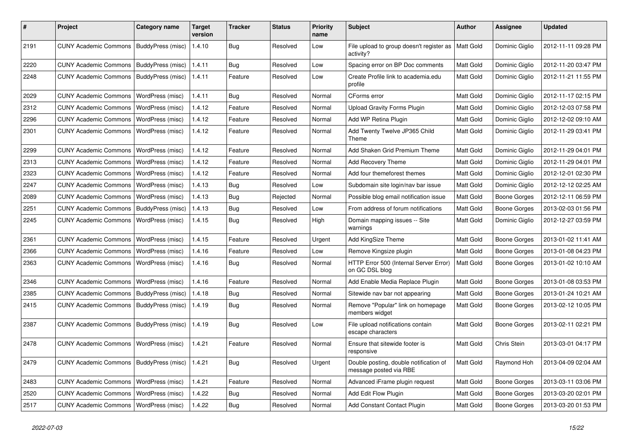| $\pmb{\#}$ | Project                                   | <b>Category name</b>     | <b>Target</b><br>version | <b>Tracker</b> | <b>Status</b> | <b>Priority</b><br>name | Subject                                                          | <b>Author</b>    | <b>Assignee</b>     | <b>Updated</b>      |
|------------|-------------------------------------------|--------------------------|--------------------------|----------------|---------------|-------------------------|------------------------------------------------------------------|------------------|---------------------|---------------------|
| 2191       | <b>CUNY Academic Commons</b>              | BuddyPress (misc)        | 1.4.10                   | <b>Bug</b>     | Resolved      | Low                     | File upload to group doesn't register as<br>activity?            | Matt Gold        | Dominic Giglio      | 2012-11-11 09:28 PM |
| 2220       | <b>CUNY Academic Commons</b>              | BuddyPress (misc)        | 1.4.11                   | Bug            | Resolved      | Low                     | Spacing error on BP Doc comments                                 | Matt Gold        | Dominic Giglio      | 2012-11-20 03:47 PM |
| 2248       | <b>CUNY Academic Commons</b>              | BuddyPress (misc)        | 1.4.11                   | Feature        | Resolved      | Low                     | Create Profile link to academia.edu<br>profile                   | Matt Gold        | Dominic Giglio      | 2012-11-21 11:55 PM |
| 2029       | <b>CUNY Academic Commons</b>              | WordPress (misc)         | 1.4.11                   | Bug            | Resolved      | Normal                  | CForms error                                                     | Matt Gold        | Dominic Giglio      | 2012-11-17 02:15 PM |
| 2312       | <b>CUNY Academic Commons</b>              | WordPress (misc)         | 1.4.12                   | Feature        | Resolved      | Normal                  | Upload Gravity Forms Plugin                                      | Matt Gold        | Dominic Giglio      | 2012-12-03 07:58 PM |
| 2296       | <b>CUNY Academic Commons</b>              | WordPress (misc)         | 1.4.12                   | Feature        | Resolved      | Normal                  | Add WP Retina Plugin                                             | Matt Gold        | Dominic Giglio      | 2012-12-02 09:10 AM |
| 2301       | <b>CUNY Academic Commons</b>              | WordPress (misc)         | 1.4.12                   | Feature        | Resolved      | Normal                  | Add Twenty Twelve JP365 Child<br>Theme                           | <b>Matt Gold</b> | Dominic Giglio      | 2012-11-29 03:41 PM |
| 2299       | <b>CUNY Academic Commons</b>              | <b>WordPress (misc)</b>  | 1.4.12                   | Feature        | Resolved      | Normal                  | Add Shaken Grid Premium Theme                                    | Matt Gold        | Dominic Giglio      | 2012-11-29 04:01 PM |
| 2313       | <b>CUNY Academic Commons</b>              | WordPress (misc)         | 1.4.12                   | Feature        | Resolved      | Normal                  | Add Recovery Theme                                               | Matt Gold        | Dominic Giglio      | 2012-11-29 04:01 PM |
| 2323       | <b>CUNY Academic Commons</b>              | WordPress (misc)         | 1.4.12                   | Feature        | Resolved      | Normal                  | Add four themeforest themes                                      | Matt Gold        | Dominic Giglio      | 2012-12-01 02:30 PM |
| 2247       | <b>CUNY Academic Commons</b>              | WordPress (misc)         | 1.4.13                   | <b>Bug</b>     | Resolved      | Low                     | Subdomain site login/nav bar issue                               | Matt Gold        | Dominic Giglio      | 2012-12-12 02:25 AM |
| 2089       | <b>CUNY Academic Commons</b>              | WordPress (misc)         | 1.4.13                   | <b>Bug</b>     | Rejected      | Normal                  | Possible blog email notification issue                           | Matt Gold        | <b>Boone Gorges</b> | 2012-12-11 06:59 PM |
| 2251       | <b>CUNY Academic Commons</b>              | BuddyPress (misc)        | 1.4.13                   | Bug            | Resolved      | Low                     | From address of forum notifications                              | Matt Gold        | Boone Gorges        | 2013-02-03 01:56 PM |
| 2245       | <b>CUNY Academic Commons</b>              | <b>WordPress (misc)</b>  | 1.4.15                   | Bug            | Resolved      | High                    | Domain mapping issues -- Site<br>warnings                        | Matt Gold        | Dominic Giglio      | 2012-12-27 03:59 PM |
| 2361       | <b>CUNY Academic Commons</b>              | WordPress (misc)         | 1.4.15                   | Feature        | Resolved      | Urgent                  | Add KingSize Theme                                               | Matt Gold        | <b>Boone Gorges</b> | 2013-01-02 11:41 AM |
| 2366       | <b>CUNY Academic Commons</b>              | <b>WordPress (misc)</b>  | 1.4.16                   | Feature        | Resolved      | Low                     | Remove Kingsize plugin                                           | Matt Gold        | Boone Gorges        | 2013-01-08 04:23 PM |
| 2363       | <b>CUNY Academic Commons</b>              | WordPress (misc)         | 1.4.16                   | Bug            | Resolved      | Normal                  | HTTP Error 500 (Internal Server Error)<br>on GC DSL blog         | Matt Gold        | <b>Boone Gorges</b> | 2013-01-02 10:10 AM |
| 2346       | <b>CUNY Academic Commons</b>              | WordPress (misc)         | 1.4.16                   | Feature        | Resolved      | Normal                  | Add Enable Media Replace Plugin                                  | Matt Gold        | <b>Boone Gorges</b> | 2013-01-08 03:53 PM |
| 2385       | <b>CUNY Academic Commons</b>              | BuddyPress (misc)        | 1.4.18                   | Bug            | Resolved      | Normal                  | Sitewide nav bar not appearing                                   | Matt Gold        | Boone Gorges        | 2013-01-24 10:21 AM |
| 2415       | <b>CUNY Academic Commons</b>              | <b>BuddyPress (misc)</b> | 1.4.19                   | Bug            | Resolved      | Normal                  | Remove "Popular" link on homepage<br>members widget              | Matt Gold        | Boone Gorges        | 2013-02-12 10:05 PM |
| 2387       | <b>CUNY Academic Commons</b>              | BuddyPress (misc)        | 1.4.19                   | <b>Bug</b>     | Resolved      | Low                     | File upload notifications contain<br>escape characters           | Matt Gold        | Boone Gorges        | 2013-02-11 02:21 PM |
| 2478       | <b>CUNY Academic Commons</b>              | WordPress (misc)         | 1.4.21                   | Feature        | Resolved      | Normal                  | Ensure that sitewide footer is<br>responsive                     | Matt Gold        | Chris Stein         | 2013-03-01 04:17 PM |
| 2479       | CUNY Academic Commons   BuddyPress (misc) |                          | 1.4.21                   | Bug            | Resolved      | Urgent                  | Double posting, double notification of<br>message posted via RBE | Matt Gold        | Raymond Hoh         | 2013-04-09 02:04 AM |
| 2483       | CUNY Academic Commons   WordPress (misc)  |                          | 1.4.21                   | Feature        | Resolved      | Normal                  | Advanced iFrame plugin request                                   | Matt Gold        | Boone Gorges        | 2013-03-11 03:06 PM |
| 2520       | <b>CUNY Academic Commons</b>              | WordPress (misc)         | 1.4.22                   | <b>Bug</b>     | Resolved      | Normal                  | Add Edit Flow Plugin                                             | Matt Gold        | Boone Gorges        | 2013-03-20 02:01 PM |
| 2517       | <b>CUNY Academic Commons</b>              | WordPress (misc)         | 1.4.22                   | Bug            | Resolved      | Normal                  | Add Constant Contact Plugin                                      | Matt Gold        | Boone Gorges        | 2013-03-20 01:53 PM |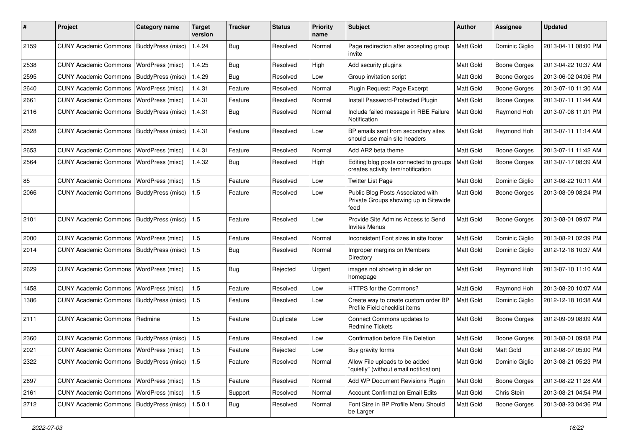| #    | Project                                   | <b>Category name</b>     | <b>Target</b><br>version | <b>Tracker</b> | <b>Status</b> | <b>Priority</b><br>name | <b>Subject</b>                                                                     | Author           | <b>Assignee</b>     | <b>Updated</b>      |
|------|-------------------------------------------|--------------------------|--------------------------|----------------|---------------|-------------------------|------------------------------------------------------------------------------------|------------------|---------------------|---------------------|
| 2159 | <b>CUNY Academic Commons</b>              | BuddyPress (misc)        | 1.4.24                   | Bug            | Resolved      | Normal                  | Page redirection after accepting group<br>invite                                   | Matt Gold        | Dominic Giglio      | 2013-04-11 08:00 PM |
| 2538 | <b>CUNY Academic Commons</b>              | WordPress (misc)         | 1.4.25                   | Bug            | Resolved      | High                    | Add security plugins                                                               | Matt Gold        | <b>Boone Gorges</b> | 2013-04-22 10:37 AM |
| 2595 | <b>CUNY Academic Commons</b>              | <b>BuddyPress (misc)</b> | 1.4.29                   | Bug            | Resolved      | Low                     | Group invitation script                                                            | Matt Gold        | <b>Boone Gorges</b> | 2013-06-02 04:06 PM |
| 2640 | <b>CUNY Academic Commons</b>              | WordPress (misc)         | 1.4.31                   | Feature        | Resolved      | Normal                  | Plugin Request: Page Excerpt                                                       | Matt Gold        | Boone Gorges        | 2013-07-10 11:30 AM |
| 2661 | <b>CUNY Academic Commons</b>              | WordPress (misc)         | 1.4.31                   | Feature        | Resolved      | Normal                  | Install Password-Protected Plugin                                                  | Matt Gold        | <b>Boone Gorges</b> | 2013-07-11 11:44 AM |
| 2116 | <b>CUNY Academic Commons</b>              | BuddyPress (misc)        | 1.4.31                   | Bug            | Resolved      | Normal                  | Include failed message in RBE Failure<br>Notification                              | Matt Gold        | Raymond Hoh         | 2013-07-08 11:01 PM |
| 2528 | <b>CUNY Academic Commons</b>              | BuddyPress (misc)        | 1.4.31                   | Feature        | Resolved      | Low                     | BP emails sent from secondary sites<br>should use main site headers                | Matt Gold        | Raymond Hoh         | 2013-07-11 11:14 AM |
| 2653 | <b>CUNY Academic Commons</b>              | WordPress (misc)         | 1.4.31                   | Feature        | Resolved      | Normal                  | Add AR2 beta theme                                                                 | Matt Gold        | Boone Gorges        | 2013-07-11 11:42 AM |
| 2564 | <b>CUNY Academic Commons</b>              | <b>WordPress (misc)</b>  | 1.4.32                   | Bug            | Resolved      | High                    | Editing blog posts connected to groups<br>creates activity item/notification       | Matt Gold        | Boone Gorges        | 2013-07-17 08:39 AM |
| 85   | <b>CUNY Academic Commons</b>              | <b>WordPress (misc)</b>  | 1.5                      | Feature        | Resolved      | Low                     | <b>Twitter List Page</b>                                                           | Matt Gold        | Dominic Giglio      | 2013-08-22 10:11 AM |
| 2066 | <b>CUNY Academic Commons</b>              | BuddyPress (misc)        | 1.5                      | Feature        | Resolved      | Low                     | Public Blog Posts Associated with<br>Private Groups showing up in Sitewide<br>feed | Matt Gold        | Boone Gorges        | 2013-08-09 08:24 PM |
| 2101 | <b>CUNY Academic Commons</b>              | <b>BuddyPress (misc)</b> | 1.5                      | Feature        | Resolved      | Low                     | Provide Site Admins Access to Send<br><b>Invites Menus</b>                         | <b>Matt Gold</b> | <b>Boone Gorges</b> | 2013-08-01 09:07 PM |
| 2000 | <b>CUNY Academic Commons</b>              | WordPress (misc)         | 1.5                      | Feature        | Resolved      | Normal                  | Inconsistent Font sizes in site footer                                             | Matt Gold        | Dominic Giglio      | 2013-08-21 02:39 PM |
| 2014 | <b>CUNY Academic Commons</b>              | BuddyPress (misc)        | 1.5                      | Bug            | Resolved      | Normal                  | Improper margins on Members<br>Directory                                           | Matt Gold        | Dominic Giglio      | 2012-12-18 10:37 AM |
| 2629 | <b>CUNY Academic Commons</b>              | WordPress (misc)         | 1.5                      | <b>Bug</b>     | Rejected      | Urgent                  | images not showing in slider on<br>homepage                                        | Matt Gold        | Raymond Hoh         | 2013-07-10 11:10 AM |
| 1458 | <b>CUNY Academic Commons</b>              | WordPress (misc)         | 1.5                      | Feature        | Resolved      | Low                     | HTTPS for the Commons?                                                             | <b>Matt Gold</b> | Raymond Hoh         | 2013-08-20 10:07 AM |
| 1386 | <b>CUNY Academic Commons</b>              | BuddyPress (misc)        | 1.5                      | Feature        | Resolved      | Low                     | Create way to create custom order BP<br>Profile Field checklist items              | Matt Gold        | Dominic Giglio      | 2012-12-18 10:38 AM |
| 2111 | <b>CUNY Academic Commons</b>              | Redmine                  | 1.5                      | Feature        | Duplicate     | Low                     | Connect Commons updates to<br><b>Redmine Tickets</b>                               | Matt Gold        | Boone Gorges        | 2012-09-09 08:09 AM |
| 2360 | <b>CUNY Academic Commons</b>              | BuddyPress (misc)        | 1.5                      | Feature        | Resolved      | Low                     | Confirmation before File Deletion                                                  | Matt Gold        | Boone Gorges        | 2013-08-01 09:08 PM |
| 2021 | CUNY Academic Commons   WordPress (misc)  |                          | 1.5                      | Feature        | Rejected      | Low                     | Buy gravity forms                                                                  | Matt Gold        | Matt Gold           | 2012-08-07 05:00 PM |
| 2322 | <b>CUNY Academic Commons</b>              | BuddyPress (misc)        | 1.5                      | Feature        | Resolved      | Normal                  | Allow File uploads to be added<br>"quietly" (without email notification)           | Matt Gold        | Dominic Giglio      | 2013-08-21 05:23 PM |
| 2697 | <b>CUNY Academic Commons</b>              | WordPress (misc)         | $1.5\,$                  | Feature        | Resolved      | Normal                  | Add WP Document Revisions Plugin                                                   | Matt Gold        | Boone Gorges        | 2013-08-22 11:28 AM |
| 2161 | <b>CUNY Academic Commons</b>              | WordPress (misc)         | 1.5                      | Support        | Resolved      | Normal                  | <b>Account Confirmation Email Edits</b>                                            | Matt Gold        | Chris Stein         | 2013-08-21 04:54 PM |
| 2712 | CUNY Academic Commons   BuddyPress (misc) |                          | 1.5.0.1                  | <b>Bug</b>     | Resolved      | Normal                  | Font Size in BP Profile Menu Should<br>be Larger                                   | Matt Gold        | <b>Boone Gorges</b> | 2013-08-23 04:36 PM |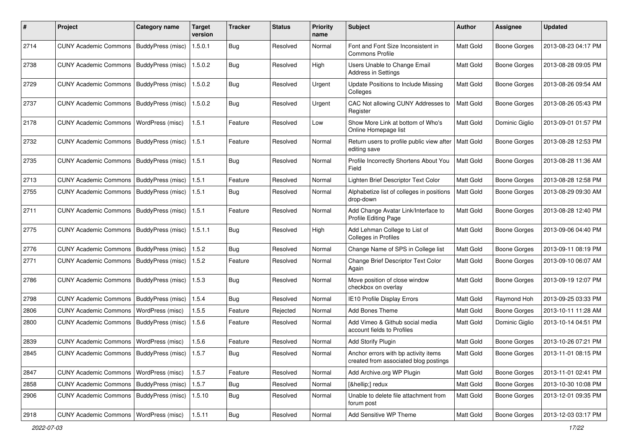| #    | Project                                           | <b>Category name</b> | Target<br>version | <b>Tracker</b> | <b>Status</b> | <b>Priority</b><br>name | <b>Subject</b>                                                                | <b>Author</b> | <b>Assignee</b>     | <b>Updated</b>      |
|------|---------------------------------------------------|----------------------|-------------------|----------------|---------------|-------------------------|-------------------------------------------------------------------------------|---------------|---------------------|---------------------|
| 2714 | <b>CUNY Academic Commons</b>                      | BuddyPress (misc)    | 1.5.0.1           | Bug            | Resolved      | Normal                  | Font and Font Size Inconsistent in<br><b>Commons Profile</b>                  | Matt Gold     | <b>Boone Gorges</b> | 2013-08-23 04:17 PM |
| 2738 | <b>CUNY Academic Commons</b>                      | BuddyPress (misc)    | 1.5.0.2           | Bug            | Resolved      | High                    | Users Unable to Change Email<br>Address in Settings                           | Matt Gold     | <b>Boone Gorges</b> | 2013-08-28 09:05 PM |
| 2729 | <b>CUNY Academic Commons</b>                      | BuddyPress (misc)    | 1.5.0.2           | Bug            | Resolved      | Urgent                  | Update Positions to Include Missing<br>Colleges                               | Matt Gold     | <b>Boone Gorges</b> | 2013-08-26 09:54 AM |
| 2737 | <b>CUNY Academic Commons</b>                      | BuddyPress (misc)    | 1.5.0.2           | Bug            | Resolved      | Urgent                  | CAC Not allowing CUNY Addresses to<br>Register                                | Matt Gold     | <b>Boone Gorges</b> | 2013-08-26 05:43 PM |
| 2178 | <b>CUNY Academic Commons</b>                      | WordPress (misc)     | 1.5.1             | Feature        | Resolved      | Low                     | Show More Link at bottom of Who's<br>Online Homepage list                     | Matt Gold     | Dominic Giglio      | 2013-09-01 01:57 PM |
| 2732 | <b>CUNY Academic Commons</b>                      | BuddyPress (misc)    | 1.5.1             | Feature        | Resolved      | Normal                  | Return users to profile public view after<br>editing save                     | Matt Gold     | <b>Boone Gorges</b> | 2013-08-28 12:53 PM |
| 2735 | <b>CUNY Academic Commons</b>                      | BuddyPress (misc)    | 1.5.1             | Bug            | Resolved      | Normal                  | Profile Incorrectly Shortens About You<br>Field                               | Matt Gold     | <b>Boone Gorges</b> | 2013-08-28 11:36 AM |
| 2713 | <b>CUNY Academic Commons</b>                      | BuddyPress (misc)    | 1.5.1             | Feature        | Resolved      | Normal                  | Lighten Brief Descriptor Text Color                                           | Matt Gold     | <b>Boone Gorges</b> | 2013-08-28 12:58 PM |
| 2755 | <b>CUNY Academic Commons</b>                      | BuddyPress (misc)    | 1.5.1             | Bug            | Resolved      | Normal                  | Alphabetize list of colleges in positions<br>drop-down                        | Matt Gold     | <b>Boone Gorges</b> | 2013-08-29 09:30 AM |
| 2711 | <b>CUNY Academic Commons</b>                      | BuddyPress (misc)    | 1.5.1             | Feature        | Resolved      | Normal                  | Add Change Avatar Link/Interface to<br>Profile Editing Page                   | Matt Gold     | <b>Boone Gorges</b> | 2013-08-28 12:40 PM |
| 2775 | <b>CUNY Academic Commons</b>                      | BuddyPress (misc)    | 1.5.1.1           | <b>Bug</b>     | Resolved      | High                    | Add Lehman College to List of<br><b>Colleges in Profiles</b>                  | Matt Gold     | <b>Boone Gorges</b> | 2013-09-06 04:40 PM |
| 2776 | <b>CUNY Academic Commons</b>                      | BuddyPress (misc)    | 1.5.2             | Bug            | Resolved      | Normal                  | Change Name of SPS in College list                                            | Matt Gold     | <b>Boone Gorges</b> | 2013-09-11 08:19 PM |
| 2771 | <b>CUNY Academic Commons</b>                      | BuddyPress (misc)    | 1.5.2             | Feature        | Resolved      | Normal                  | Change Brief Descriptor Text Color<br>Again                                   | Matt Gold     | <b>Boone Gorges</b> | 2013-09-10 06:07 AM |
| 2786 | <b>CUNY Academic Commons</b>                      | BuddyPress (misc)    | 1.5.3             | Bug            | Resolved      | Normal                  | Move position of close window<br>checkbox on overlay                          | Matt Gold     | <b>Boone Gorges</b> | 2013-09-19 12:07 PM |
| 2798 | <b>CUNY Academic Commons</b>                      | BuddyPress (misc)    | 1.5.4             | Bug            | Resolved      | Normal                  | IE10 Profile Display Errors                                                   | Matt Gold     | Raymond Hoh         | 2013-09-25 03:33 PM |
| 2806 | <b>CUNY Academic Commons</b>                      | WordPress (misc)     | 1.5.5             | Feature        | Rejected      | Normal                  | Add Bones Theme                                                               | Matt Gold     | <b>Boone Gorges</b> | 2013-10-11 11:28 AM |
| 2800 | <b>CUNY Academic Commons</b>                      | BuddyPress (misc)    | 1.5.6             | Feature        | Resolved      | Normal                  | Add Vimeo & Github social media<br>account fields to Profiles                 | Matt Gold     | Dominic Giglio      | 2013-10-14 04:51 PM |
| 2839 | <b>CUNY Academic Commons</b>                      | WordPress (misc)     | 1.5.6             | Feature        | Resolved      | Normal                  | Add Storify Plugin                                                            | Matt Gold     | <b>Boone Gorges</b> | 2013-10-26 07:21 PM |
| 2845 | CUNY Academic Commons   BuddyPress (misc)   1.5.7 |                      |                   | <b>Bug</b>     | Resolved      | Normal                  | Anchor errors with bp activity items<br>created from associated blog postings | Matt Gold     | Boone Gorges        | 2013-11-01 08:15 PM |
| 2847 | CUNY Academic Commons   WordPress (misc)          |                      | 1.5.7             | Feature        | Resolved      | Normal                  | Add Archive.org WP Plugin                                                     | Matt Gold     | <b>Boone Gorges</b> | 2013-11-01 02:41 PM |
| 2858 | <b>CUNY Academic Commons</b>                      | BuddyPress (misc)    | 1.5.7             | <b>Bug</b>     | Resolved      | Normal                  | […] redux                                                                     | Matt Gold     | <b>Boone Gorges</b> | 2013-10-30 10:08 PM |
| 2906 | CUNY Academic Commons   BuddyPress (misc)         |                      | 1.5.10            | Bug            | Resolved      | Normal                  | Unable to delete file attachment from<br>forum post                           | Matt Gold     | Boone Gorges        | 2013-12-01 09:35 PM |
| 2918 | CUNY Academic Commons   WordPress (misc)          |                      | 1.5.11            | Bug            | Resolved      | Normal                  | Add Sensitive WP Theme                                                        | Matt Gold     | <b>Boone Gorges</b> | 2013-12-03 03:17 PM |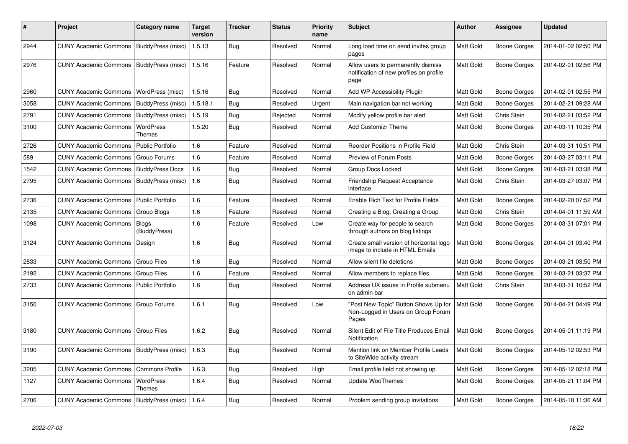| ∦    | Project                                   | Category name                | <b>Target</b><br>version | Tracker    | <b>Status</b> | <b>Priority</b><br>name | <b>Subject</b>                                                                        | <b>Author</b>    | Assignee            | <b>Updated</b>      |
|------|-------------------------------------------|------------------------------|--------------------------|------------|---------------|-------------------------|---------------------------------------------------------------------------------------|------------------|---------------------|---------------------|
| 2944 | CUNY Academic Commons   BuddyPress (misc) |                              | 1.5.13                   | Bug        | Resolved      | Normal                  | Long load time on send invites group<br>pages                                         | Matt Gold        | Boone Gorges        | 2014-01-02 02:50 PM |
| 2976 | CUNY Academic Commons   BuddyPress (misc) |                              | 1.5.16                   | Feature    | Resolved      | Normal                  | Allow users to permanently dismiss<br>notification of new profiles on profile<br>page | Matt Gold        | Boone Gorges        | 2014-02-01 02:56 PM |
| 2960 | <b>CUNY Academic Commons</b>              | WordPress (misc)             | 1.5.16                   | Bug        | Resolved      | Normal                  | Add WP Accessibility Plugin                                                           | Matt Gold        | Boone Gorges        | 2014-02-01 02:55 PM |
| 3058 | <b>CUNY Academic Commons</b>              | BuddyPress (misc)            | 1.5.18.1                 | Bug        | Resolved      | Urgent                  | Main navigation bar not working                                                       | Matt Gold        | <b>Boone Gorges</b> | 2014-02-21 09:28 AM |
| 2791 | <b>CUNY Academic Commons</b>              | BuddyPress (misc)            | 1.5.19                   | Bug        | Rejected      | Normal                  | Modify yellow profile bar alert                                                       | Matt Gold        | Chris Stein         | 2014-02-21 03:52 PM |
| 3100 | <b>CUNY Academic Commons</b>              | WordPress<br>Themes          | 1.5.20                   | Bug        | Resolved      | Normal                  | Add Customizr Theme                                                                   | Matt Gold        | <b>Boone Gorges</b> | 2014-03-11 10:35 PM |
| 2726 | <b>CUNY Academic Commons</b>              | <b>Public Portfolio</b>      | 1.6                      | Feature    | Resolved      | Normal                  | Reorder Positions in Profile Field                                                    | Matt Gold        | Chris Stein         | 2014-03-31 10:51 PM |
| 589  | <b>CUNY Academic Commons</b>              | Group Forums                 | 1.6                      | Feature    | Resolved      | Normal                  | Preview of Forum Posts                                                                | Matt Gold        | Boone Gorges        | 2014-03-27 03:11 PM |
| 1542 | CUNY Academic Commons   BuddyPress Docs   |                              | 1.6                      | Bug        | Resolved      | Normal                  | Group Docs Locked                                                                     | Matt Gold        | Boone Gorges        | 2014-03-21 03:38 PM |
| 2795 | <b>CUNY Academic Commons</b>              | BuddyPress (misc)            | 1.6                      | Bug        | Resolved      | Normal                  | <b>Friendship Request Acceptance</b><br>interface                                     | Matt Gold        | Chris Stein         | 2014-03-27 03:07 PM |
| 2736 | <b>CUNY Academic Commons</b>              | <b>Public Portfolio</b>      | 1.6                      | Feature    | Resolved      | Normal                  | <b>Enable Rich Text for Profile Fields</b>                                            | Matt Gold        | <b>Boone Gorges</b> | 2014-02-20 07:52 PM |
| 2135 | <b>CUNY Academic Commons</b>              | Group Blogs                  | 1.6                      | Feature    | Resolved      | Normal                  | Creating a Blog, Creating a Group                                                     | Matt Gold        | Chris Stein         | 2014-04-01 11:59 AM |
| 1098 | <b>CUNY Academic Commons</b>              | <b>Blogs</b><br>(BuddyPress) | 1.6                      | Feature    | Resolved      | Low                     | Create way for people to search<br>through authors on blog listings                   | Matt Gold        | Boone Gorges        | 2014-03-31 07:01 PM |
| 3124 | <b>CUNY Academic Commons</b>              | Design                       | 1.6                      | <b>Bug</b> | Resolved      | Normal                  | Create small version of horizontal logo<br>image to include in HTML Emails            | Matt Gold        | Boone Gorges        | 2014-04-01 03:40 PM |
| 2833 | <b>CUNY Academic Commons</b>              | <b>Group Files</b>           | 1.6                      | Bug        | Resolved      | Normal                  | Allow silent file deletions                                                           | Matt Gold        | Boone Gorges        | 2014-03-21 03:50 PM |
| 2192 | <b>CUNY Academic Commons</b>              | <b>Group Files</b>           | 1.6                      | Feature    | Resolved      | Normal                  | Allow members to replace files                                                        | Matt Gold        | Boone Gorges        | 2014-03-21 03:37 PM |
| 2733 | <b>CUNY Academic Commons</b>              | <b>Public Portfolio</b>      | 1.6                      | Bug        | Resolved      | Normal                  | Address UX issues in Profile submenu<br>on admin bar                                  | Matt Gold        | <b>Chris Stein</b>  | 2014-03-31 10:52 PM |
| 3150 | <b>CUNY Academic Commons</b>              | Group Forums                 | 1.6.1                    | Bug        | Resolved      | Low                     | "Post New Topic" Button Shows Up for<br>Non-Logged in Users on Group Forum<br>Pages   | Matt Gold        | Boone Gorges        | 2014-04-21 04:49 PM |
| 3180 | <b>CUNY Academic Commons</b>              | <b>Group Files</b>           | 1.6.2                    | Bug        | Resolved      | Normal                  | Silent Edit of File Title Produces Email<br>Notification                              | Matt Gold        | <b>Boone Gorges</b> | 2014-05-01 11:19 PM |
| 3190 | <b>CUNY Academic Commons</b>              | BuddyPress (misc)            | 1.6.3                    | Bug        | Resolved      | Normal                  | Mention link on Member Profile Leads<br>to SiteWide activity stream                   | Matt Gold        | <b>Boone Gorges</b> | 2014-05-12 02:53 PM |
| 3205 | <b>CUNY Academic Commons</b>              | <b>Commons Profile</b>       | 1.6.3                    | <b>Bug</b> | Resolved      | High                    | Email profile field not showing up                                                    | Matt Gold        | <b>Boone Gorges</b> | 2014-05-12 02:18 PM |
| 1127 | <b>CUNY Academic Commons</b>              | WordPress<br>Themes          | 1.6.4                    | Bug        | Resolved      | Normal                  | Update WooThemes                                                                      | <b>Matt Gold</b> | Boone Gorges        | 2014-05-21 11:04 PM |
| 2706 | <b>CUNY Academic Commons</b>              | BuddyPress (misc)            | 1.6.4                    | Bug        | Resolved      | Normal                  | Problem sending group invitations                                                     | Matt Gold        | Boone Gorges        | 2014-05-18 11:36 AM |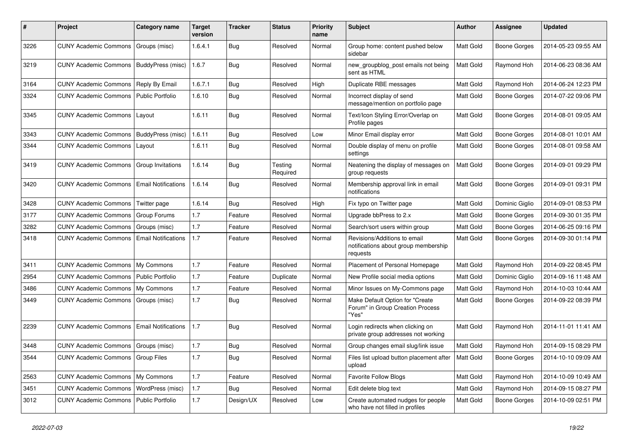| #    | Project                                  | <b>Category name</b>       | <b>Target</b><br>version | Tracker    | <b>Status</b>       | Priority<br>name | <b>Subject</b>                                                                   | <b>Author</b> | <b>Assignee</b>     | <b>Updated</b>      |
|------|------------------------------------------|----------------------------|--------------------------|------------|---------------------|------------------|----------------------------------------------------------------------------------|---------------|---------------------|---------------------|
| 3226 | <b>CUNY Academic Commons</b>             | Groups (misc)              | 1.6.4.1                  | Bug        | Resolved            | Normal           | Group home: content pushed below<br>sidebar                                      | Matt Gold     | <b>Boone Gorges</b> | 2014-05-23 09:55 AM |
| 3219 | <b>CUNY Academic Commons</b>             | BuddyPress (misc)          | 1.6.7                    | <b>Bug</b> | Resolved            | Normal           | new_groupblog_post emails not being<br>sent as HTML                              | Matt Gold     | Raymond Hoh         | 2014-06-23 08:36 AM |
| 3164 | <b>CUNY Academic Commons</b>             | Reply By Email             | 1.6.7.1                  | Bug        | Resolved            | High             | Duplicate RBE messages                                                           | Matt Gold     | Raymond Hoh         | 2014-06-24 12:23 PM |
| 3324 | <b>CUNY Academic Commons</b>             | <b>Public Portfolio</b>    | 1.6.10                   | <b>Bug</b> | Resolved            | Normal           | Incorrect display of send<br>message/mention on portfolio page                   | Matt Gold     | <b>Boone Gorges</b> | 2014-07-22 09:06 PM |
| 3345 | <b>CUNY Academic Commons</b>             | Layout                     | 1.6.11                   | Bug        | Resolved            | Normal           | Text/Icon Styling Error/Overlap on<br>Profile pages                              | Matt Gold     | <b>Boone Gorges</b> | 2014-08-01 09:05 AM |
| 3343 | <b>CUNY Academic Commons</b>             | BuddyPress (misc)          | 1.6.11                   | Bug        | Resolved            | Low              | Minor Email display error                                                        | Matt Gold     | <b>Boone Gorges</b> | 2014-08-01 10:01 AM |
| 3344 | <b>CUNY Academic Commons</b>             | Layout                     | 1.6.11                   | Bug        | Resolved            | Normal           | Double display of menu on profile<br>settings                                    | Matt Gold     | <b>Boone Gorges</b> | 2014-08-01 09:58 AM |
| 3419 | <b>CUNY Academic Commons</b>             | Group Invitations          | 1.6.14                   | Bug        | Testing<br>Required | Normal           | Neatening the display of messages on<br>group requests                           | Matt Gold     | <b>Boone Gorges</b> | 2014-09-01 09:29 PM |
| 3420 | <b>CUNY Academic Commons</b>             | <b>Email Notifications</b> | 1.6.14                   | Bug        | Resolved            | Normal           | Membership approval link in email<br>notifications                               | Matt Gold     | <b>Boone Gorges</b> | 2014-09-01 09:31 PM |
| 3428 | <b>CUNY Academic Commons</b>             | Twitter page               | 1.6.14                   | Bug        | Resolved            | High             | Fix typo on Twitter page                                                         | Matt Gold     | Dominic Giglio      | 2014-09-01 08:53 PM |
| 3177 | <b>CUNY Academic Commons</b>             | Group Forums               | 1.7                      | Feature    | Resolved            | Normal           | Upgrade bbPress to 2.x                                                           | Matt Gold     | <b>Boone Gorges</b> | 2014-09-30 01:35 PM |
| 3282 | <b>CUNY Academic Commons</b>             | Groups (misc)              | 1.7                      | Feature    | Resolved            | Normal           | Search/sort users within group                                                   | Matt Gold     | <b>Boone Gorges</b> | 2014-06-25 09:16 PM |
| 3418 | <b>CUNY Academic Commons</b>             | <b>Email Notifications</b> | 1.7                      | Feature    | Resolved            | Normal           | Revisions/Additions to email<br>notifications about group membership<br>requests | Matt Gold     | <b>Boone Gorges</b> | 2014-09-30 01:14 PM |
| 3411 | <b>CUNY Academic Commons</b>             | My Commons                 | 1.7                      | Feature    | Resolved            | Normal           | Placement of Personal Homepage                                                   | Matt Gold     | Raymond Hoh         | 2014-09-22 08:45 PM |
| 2954 | <b>CUNY Academic Commons</b>             | <b>Public Portfolio</b>    | 1.7                      | Feature    | Duplicate           | Normal           | New Profile social media options                                                 | Matt Gold     | Dominic Giglio      | 2014-09-16 11:48 AM |
| 3486 | <b>CUNY Academic Commons</b>             | My Commons                 | 1.7                      | Feature    | Resolved            | Normal           | Minor Issues on My-Commons page                                                  | Matt Gold     | Raymond Hoh         | 2014-10-03 10:44 AM |
| 3449 | <b>CUNY Academic Commons</b>             | Groups (misc)              | 1.7                      | <b>Bug</b> | Resolved            | Normal           | Make Default Option for "Create<br>Forum" in Group Creation Process<br>"Yes"     | Matt Gold     | <b>Boone Gorges</b> | 2014-09-22 08:39 PM |
| 2239 | <b>CUNY Academic Commons</b>             | <b>Email Notifications</b> | 1.7                      | Bug        | Resolved            | Normal           | Login redirects when clicking on<br>private group addresses not working          | Matt Gold     | Raymond Hoh         | 2014-11-01 11:41 AM |
| 3448 | <b>CUNY Academic Commons</b>             | Groups (misc)              | 1.7                      | <b>Bug</b> | Resolved            | Normal           | Group changes email slug/link issue                                              | Matt Gold     | Raymond Hoh         | 2014-09-15 08:29 PM |
| 3544 | CUNY Academic Commons   Group Files      |                            | 1.7                      | Bug        | Resolved            | Normal           | Files list upload button placement after   Matt Gold<br>upload                   |               | <b>Boone Gorges</b> | 2014-10-10 09:09 AM |
| 2563 | CUNY Academic Commons   My Commons       |                            | 1.7                      | Feature    | Resolved            | Normal           | <b>Favorite Follow Blogs</b>                                                     | Matt Gold     | Raymond Hoh         | 2014-10-09 10:49 AM |
| 3451 | <b>CUNY Academic Commons</b>             | WordPress (misc)           | 1.7                      | Bug        | Resolved            | Normal           | Edit delete blog text                                                            | Matt Gold     | Raymond Hoh         | 2014-09-15 08:27 PM |
| 3012 | CUNY Academic Commons   Public Portfolio |                            | 1.7                      | Design/UX  | Resolved            | Low              | Create automated nudges for people<br>who have not filled in profiles            | Matt Gold     | Boone Gorges        | 2014-10-09 02:51 PM |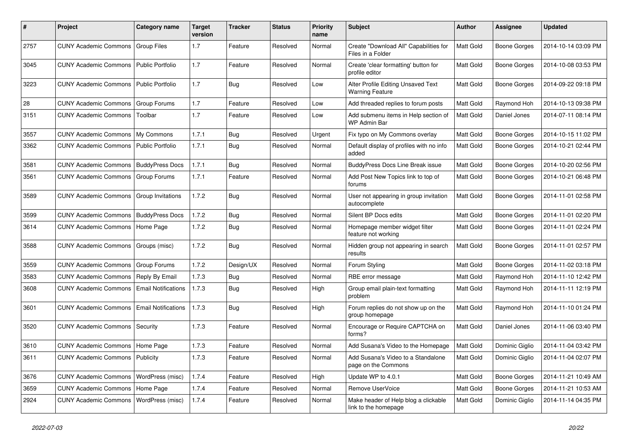| #    | Project                                  | <b>Category name</b>       | <b>Target</b><br>version | Tracker    | <b>Status</b> | <b>Priority</b><br>name | <b>Subject</b>                                               | <b>Author</b>    | Assignee            | <b>Updated</b>      |
|------|------------------------------------------|----------------------------|--------------------------|------------|---------------|-------------------------|--------------------------------------------------------------|------------------|---------------------|---------------------|
| 2757 | CUNY Academic Commons   Group Files      |                            | 1.7                      | Feature    | Resolved      | Normal                  | Create "Download All" Capabilities for<br>Files in a Folder  | Matt Gold        | <b>Boone Gorges</b> | 2014-10-14 03:09 PM |
| 3045 | <b>CUNY Academic Commons</b>             | Public Portfolio           | 1.7                      | Feature    | Resolved      | Normal                  | Create 'clear formatting' button for<br>profile editor       | Matt Gold        | Boone Gorges        | 2014-10-08 03:53 PM |
| 3223 | <b>CUNY Academic Commons</b>             | Public Portfolio           | 1.7                      | Bug        | Resolved      | Low                     | Alter Profile Editing Unsaved Text<br><b>Warning Feature</b> | Matt Gold        | <b>Boone Gorges</b> | 2014-09-22 09:18 PM |
| 28   | <b>CUNY Academic Commons</b>             | Group Forums               | 1.7                      | Feature    | Resolved      | Low                     | Add threaded replies to forum posts                          | Matt Gold        | Raymond Hoh         | 2014-10-13 09:38 PM |
| 3151 | <b>CUNY Academic Commons</b>             | Toolbar                    | 1.7                      | Feature    | Resolved      | Low                     | Add submenu items in Help section of<br>WP Admin Bar         | Matt Gold        | Daniel Jones        | 2014-07-11 08:14 PM |
| 3557 | <b>CUNY Academic Commons</b>             | My Commons                 | 1.7.1                    | Bug        | Resolved      | Urgent                  | Fix typo on My Commons overlay                               | Matt Gold        | <b>Boone Gorges</b> | 2014-10-15 11:02 PM |
| 3362 | <b>CUNY Academic Commons</b>             | Public Portfolio           | 1.7.1                    | <b>Bug</b> | Resolved      | Normal                  | Default display of profiles with no info<br>added            | Matt Gold        | Boone Gorges        | 2014-10-21 02:44 PM |
| 3581 | <b>CUNY Academic Commons</b>             | <b>BuddyPress Docs</b>     | 1.7.1                    | Bug        | Resolved      | Normal                  | BuddyPress Docs Line Break issue                             | Matt Gold        | <b>Boone Gorges</b> | 2014-10-20 02:56 PM |
| 3561 | <b>CUNY Academic Commons</b>             | Group Forums               | 1.7.1                    | Feature    | Resolved      | Normal                  | Add Post New Topics link to top of<br>forums                 | Matt Gold        | Boone Gorges        | 2014-10-21 06:48 PM |
| 3589 | <b>CUNY Academic Commons</b>             | Group Invitations          | 1.7.2                    | Bug        | Resolved      | Normal                  | User not appearing in group invitation<br>autocomplete       | Matt Gold        | Boone Gorges        | 2014-11-01 02:58 PM |
| 3599 | <b>CUNY Academic Commons</b>             | <b>BuddyPress Docs</b>     | 1.7.2                    | <b>Bug</b> | Resolved      | Normal                  | Silent BP Docs edits                                         | Matt Gold        | <b>Boone Gorges</b> | 2014-11-01 02:20 PM |
| 3614 | <b>CUNY Academic Commons</b>             | Home Page                  | 1.7.2                    | <b>Bug</b> | Resolved      | Normal                  | Homepage member widget filter<br>feature not working         | Matt Gold        | <b>Boone Gorges</b> | 2014-11-01 02:24 PM |
| 3588 | <b>CUNY Academic Commons</b>             | Groups (misc)              | 1.7.2                    | Bug        | Resolved      | Normal                  | Hidden group not appearing in search<br>results              | Matt Gold        | <b>Boone Gorges</b> | 2014-11-01 02:57 PM |
| 3559 | <b>CUNY Academic Commons</b>             | Group Forums               | 1.7.2                    | Design/UX  | Resolved      | Normal                  | Forum Styling                                                | Matt Gold        | <b>Boone Gorges</b> | 2014-11-02 03:18 PM |
| 3583 | <b>CUNY Academic Commons</b>             | Reply By Email             | 1.7.3                    | Bug        | Resolved      | Normal                  | RBE error message                                            | Matt Gold        | Raymond Hoh         | 2014-11-10 12:42 PM |
| 3608 | <b>CUNY Academic Commons</b>             | <b>Email Notifications</b> | 1.7.3                    | Bug        | Resolved      | High                    | Group email plain-text formatting<br>problem                 | <b>Matt Gold</b> | Raymond Hoh         | 2014-11-11 12:19 PM |
| 3601 | <b>CUNY Academic Commons</b>             | <b>Email Notifications</b> | 1.7.3                    | Bug        | Resolved      | High                    | Forum replies do not show up on the<br>group homepage        | Matt Gold        | Raymond Hoh         | 2014-11-10 01:24 PM |
| 3520 | CUNY Academic Commons                    | Security                   | 1.7.3                    | Feature    | Resolved      | Normal                  | Encourage or Require CAPTCHA on<br>forms?                    | <b>Matt Gold</b> | Daniel Jones        | 2014-11-06 03:40 PM |
| 3610 | CUNY Academic Commons   Home Page        |                            | 1.7.3                    | Feature    | Resolved      | Normal                  | Add Susana's Video to the Homepage                           | Matt Gold        | Dominic Giglio      | 2014-11-04 03:42 PM |
| 3611 | <b>CUNY Academic Commons   Publicity</b> |                            | 1.7.3                    | Feature    | Resolved      | Normal                  | Add Susana's Video to a Standalone<br>page on the Commons    | <b>Matt Gold</b> | Dominic Giglio      | 2014-11-04 02:07 PM |
| 3676 | CUNY Academic Commons   WordPress (misc) |                            | 1.7.4                    | Feature    | Resolved      | High                    | Update WP to 4.0.1                                           | Matt Gold        | <b>Boone Gorges</b> | 2014-11-21 10:49 AM |
| 3659 | CUNY Academic Commons   Home Page        |                            | 1.7.4                    | Feature    | Resolved      | Normal                  | Remove UserVoice                                             | Matt Gold        | Boone Gorges        | 2014-11-21 10:53 AM |
| 2924 | CUNY Academic Commons   WordPress (misc) |                            | 1.7.4                    | Feature    | Resolved      | Normal                  | Make header of Help blog a clickable<br>link to the homepage | Matt Gold        | Dominic Giglio      | 2014-11-14 04:35 PM |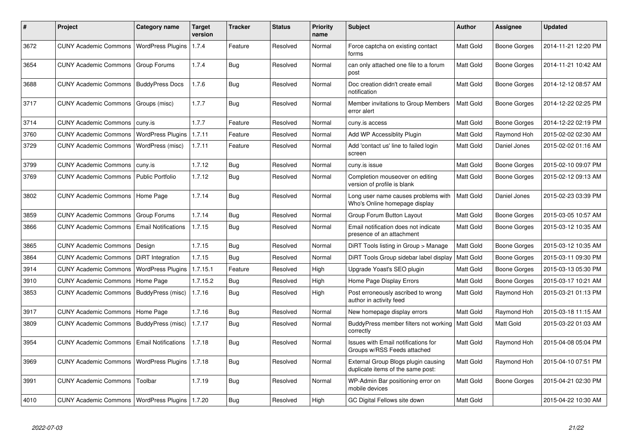| #    | Project                                            | Category name              | <b>Target</b><br>version | Tracker    | <b>Status</b> | <b>Priority</b><br>name | <b>Subject</b>                                                            | <b>Author</b>    | Assignee            | <b>Updated</b>      |
|------|----------------------------------------------------|----------------------------|--------------------------|------------|---------------|-------------------------|---------------------------------------------------------------------------|------------------|---------------------|---------------------|
| 3672 | <b>CUNY Academic Commons</b>                       | WordPress Plugins          | 1.7.4                    | Feature    | Resolved      | Normal                  | Force captcha on existing contact<br>forms                                | Matt Gold        | <b>Boone Gorges</b> | 2014-11-21 12:20 PM |
| 3654 | <b>CUNY Academic Commons</b>                       | <b>Group Forums</b>        | 1.7.4                    | Bug        | Resolved      | Normal                  | can only attached one file to a forum<br>post                             | Matt Gold        | <b>Boone Gorges</b> | 2014-11-21 10:42 AM |
| 3688 | <b>CUNY Academic Commons</b>                       | <b>BuddyPress Docs</b>     | 1.7.6                    | <b>Bug</b> | Resolved      | Normal                  | Doc creation didn't create email<br>notification                          | Matt Gold        | <b>Boone Gorges</b> | 2014-12-12 08:57 AM |
| 3717 | <b>CUNY Academic Commons</b>                       | Groups (misc)              | 1.7.7                    | Bug        | Resolved      | Normal                  | Member invitations to Group Members<br>error alert                        | Matt Gold        | <b>Boone Gorges</b> | 2014-12-22 02:25 PM |
| 3714 | <b>CUNY Academic Commons</b>                       | cuny.is                    | 1.7.7                    | Feature    | Resolved      | Normal                  | cuny.is access                                                            | Matt Gold        | <b>Boone Gorges</b> | 2014-12-22 02:19 PM |
| 3760 | <b>CUNY Academic Commons</b>                       | <b>WordPress Plugins</b>   | 1.7.11                   | Feature    | Resolved      | Normal                  | Add WP Accessiblity Plugin                                                | Matt Gold        | Raymond Hoh         | 2015-02-02 02:30 AM |
| 3729 | <b>CUNY Academic Commons</b>                       | WordPress (misc)           | 1.7.11                   | Feature    | Resolved      | Normal                  | Add 'contact us' line to failed login<br>screen                           | Matt Gold        | Daniel Jones        | 2015-02-02 01:16 AM |
| 3799 | <b>CUNY Academic Commons</b>                       | cuny.is                    | 1.7.12                   | Bug        | Resolved      | Normal                  | cuny.is issue                                                             | Matt Gold        | <b>Boone Gorges</b> | 2015-02-10 09:07 PM |
| 3769 | <b>CUNY Academic Commons</b>                       | <b>Public Portfolio</b>    | 1.7.12                   | Bug        | Resolved      | Normal                  | Completion mouseover on editing<br>version of profile is blank            | Matt Gold        | Boone Gorges        | 2015-02-12 09:13 AM |
| 3802 | <b>CUNY Academic Commons</b>                       | Home Page                  | 1.7.14                   | Bug        | Resolved      | Normal                  | Long user name causes problems with<br>Who's Online homepage display      | <b>Matt Gold</b> | Daniel Jones        | 2015-02-23 03:39 PM |
| 3859 | <b>CUNY Academic Commons</b>                       | Group Forums               | 1.7.14                   | Bug        | Resolved      | Normal                  | Group Forum Button Layout                                                 | Matt Gold        | Boone Gorges        | 2015-03-05 10:57 AM |
| 3866 | <b>CUNY Academic Commons</b>                       | <b>Email Notifications</b> | 1.7.15                   | Bug        | Resolved      | Normal                  | Email notification does not indicate<br>presence of an attachment         | Matt Gold        | Boone Gorges        | 2015-03-12 10:35 AM |
| 3865 | <b>CUNY Academic Commons</b>                       | Design                     | 1.7.15                   | Bug        | Resolved      | Normal                  | DiRT Tools listing in Group > Manage                                      | Matt Gold        | Boone Gorges        | 2015-03-12 10:35 AM |
| 3864 | <b>CUNY Academic Commons</b>                       | DiRT Integration           | 1.7.15                   | Bug        | Resolved      | Normal                  | DiRT Tools Group sidebar label display                                    | <b>Matt Gold</b> | Boone Gorges        | 2015-03-11 09:30 PM |
| 3914 | <b>CUNY Academic Commons</b>                       | <b>WordPress Plugins</b>   | 1.7.15.1                 | Feature    | Resolved      | High                    | Upgrade Yoast's SEO plugin                                                | Matt Gold        | Boone Gorges        | 2015-03-13 05:30 PM |
| 3910 | <b>CUNY Academic Commons</b>                       | Home Page                  | 1.7.15.2                 | <b>Bug</b> | Resolved      | High                    | Home Page Display Errors                                                  | Matt Gold        | Boone Gorges        | 2015-03-17 10:21 AM |
| 3853 | CUNY Academic Commons   BuddyPress (misc)          |                            | 1.7.16                   | <b>Bug</b> | Resolved      | High                    | Post erroneously ascribed to wrong<br>author in activity feed             | <b>Matt Gold</b> | Raymond Hoh         | 2015-03-21 01:13 PM |
| 3917 | <b>CUNY Academic Commons</b>                       | Home Page                  | 1.7.16                   | Bug        | Resolved      | Normal                  | New homepage display errors                                               | Matt Gold        | Raymond Hoh         | 2015-03-18 11:15 AM |
| 3809 | <b>CUNY Academic Commons</b>                       | <b>BuddyPress</b> (misc)   | 1.7.17                   | <b>Bug</b> | Resolved      | Normal                  | BuddyPress member filters not working   Matt Gold<br>correctly            |                  | Matt Gold           | 2015-03-22 01:03 AM |
| 3954 | <b>CUNY Academic Commons</b>                       | <b>Email Notifications</b> | 1.7.18                   | Bug        | Resolved      | Normal                  | <b>Issues with Email notifications for</b><br>Groups w/RSS Feeds attached | Matt Gold        | Raymond Hoh         | 2015-04-08 05:04 PM |
| 3969 | <b>CUNY Academic Commons</b>                       | <b>WordPress Plugins</b>   | 1.7.18                   | <b>Bug</b> | Resolved      | Normal                  | External Group Blogs plugin causing<br>duplicate items of the same post:  | Matt Gold        | Raymond Hoh         | 2015-04-10 07:51 PM |
| 3991 | <b>CUNY Academic Commons</b>                       | Toolbar                    | 1.7.19                   | Bug        | Resolved      | Normal                  | WP-Admin Bar positioning error on<br>mobile devices                       | Matt Gold        | <b>Boone Gorges</b> | 2015-04-21 02:30 PM |
| 4010 | CUNY Academic Commons   WordPress Plugins   1.7.20 |                            |                          | Bug        | Resolved      | High                    | GC Digital Fellows site down                                              | Matt Gold        |                     | 2015-04-22 10:30 AM |